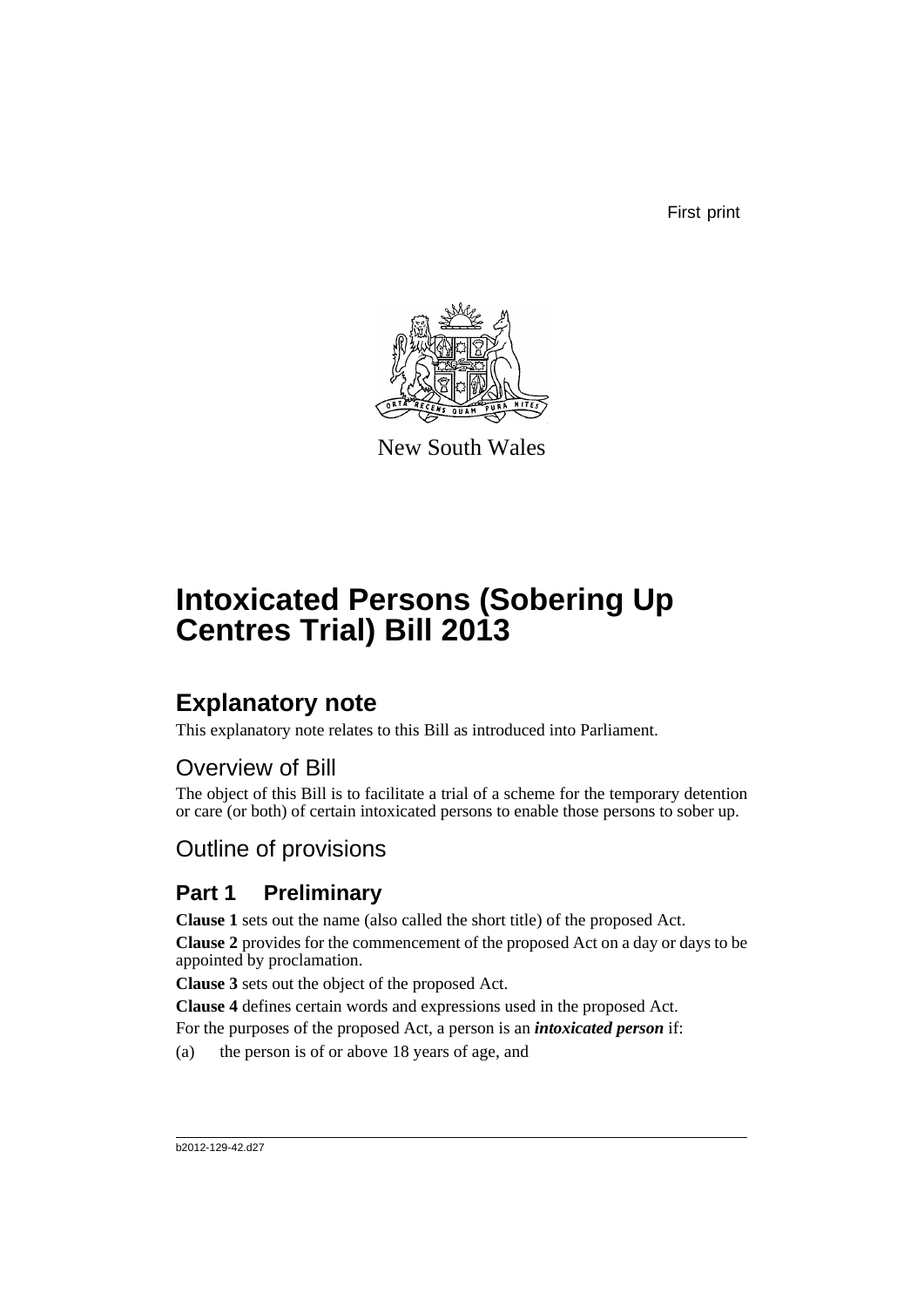First print



New South Wales

# **Intoxicated Persons (Sobering Up Centres Trial) Bill 2013**

# **Explanatory note**

This explanatory note relates to this Bill as introduced into Parliament.

# Overview of Bill

The object of this Bill is to facilitate a trial of a scheme for the temporary detention or care (or both) of certain intoxicated persons to enable those persons to sober up.

# Outline of provisions

## **Part 1 Preliminary**

**Clause 1** sets out the name (also called the short title) of the proposed Act.

**Clause 2** provides for the commencement of the proposed Act on a day or days to be appointed by proclamation.

**Clause 3** sets out the object of the proposed Act.

**Clause 4** defines certain words and expressions used in the proposed Act.

For the purposes of the proposed Act, a person is an *intoxicated person* if:

(a) the person is of or above 18 years of age, and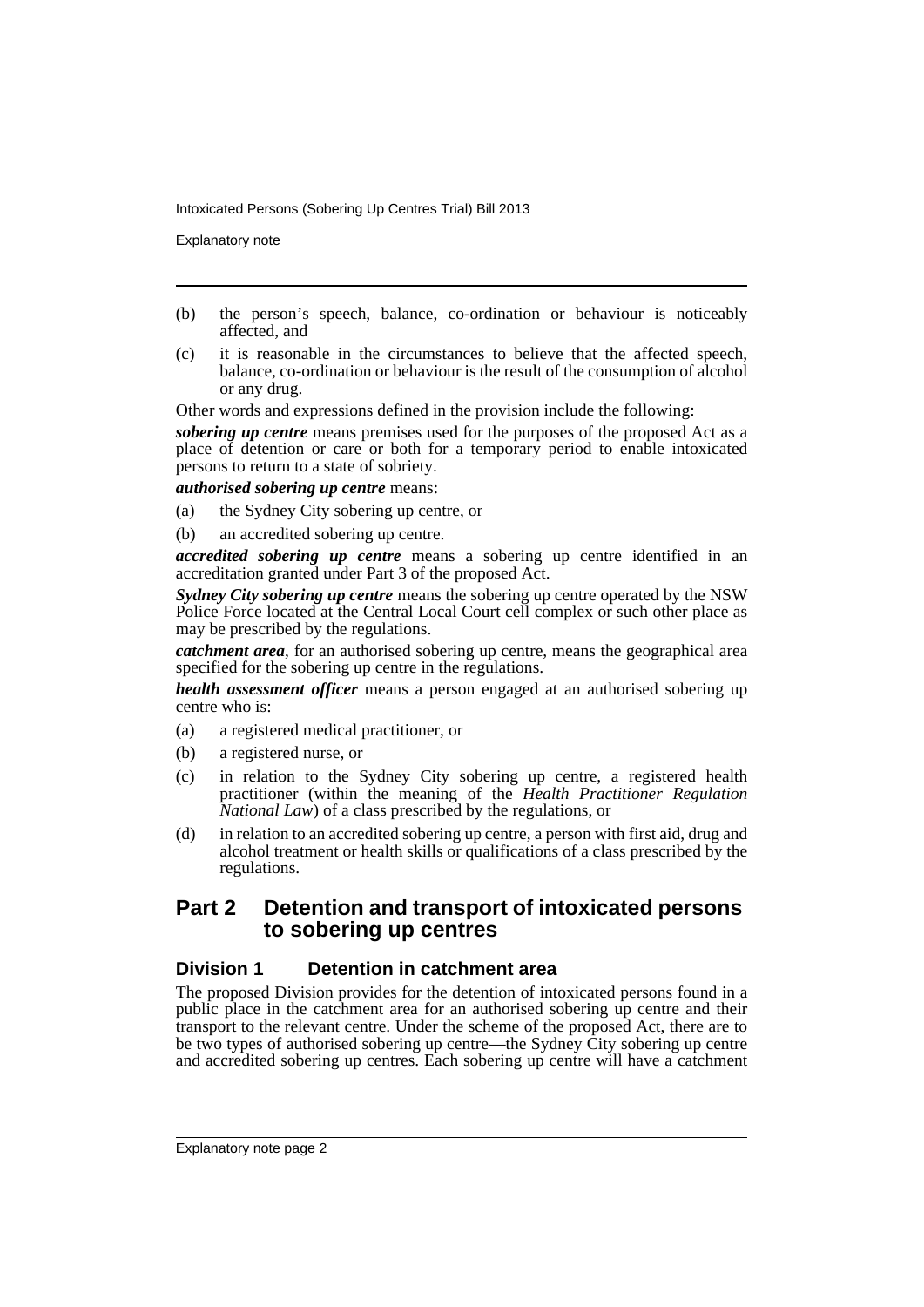Explanatory note

- (b) the person's speech, balance, co-ordination or behaviour is noticeably affected, and
- (c) it is reasonable in the circumstances to believe that the affected speech, balance, co-ordination or behaviour is the result of the consumption of alcohol or any drug.

Other words and expressions defined in the provision include the following:

*sobering up centre* means premises used for the purposes of the proposed Act as a place of detention or care or both for a temporary period to enable intoxicated persons to return to a state of sobriety.

*authorised sobering up centre* means:

- (a) the Sydney City sobering up centre, or
- (b) an accredited sobering up centre.

*accredited sobering up centre* means a sobering up centre identified in an accreditation granted under Part 3 of the proposed Act.

*Sydney City sobering up centre* means the sobering up centre operated by the NSW Police Force located at the Central Local Court cell complex or such other place as may be prescribed by the regulations.

*catchment area*, for an authorised sobering up centre, means the geographical area specified for the sobering up centre in the regulations.

*health assessment officer* means a person engaged at an authorised sobering up centre who is:

- (a) a registered medical practitioner, or
- (b) a registered nurse, or
- (c) in relation to the Sydney City sobering up centre, a registered health practitioner (within the meaning of the *Health Practitioner Regulation National Law*) of a class prescribed by the regulations, or
- (d) in relation to an accredited sobering up centre, a person with first aid, drug and alcohol treatment or health skills or qualifications of a class prescribed by the regulations.

## **Part 2 Detention and transport of intoxicated persons to sobering up centres**

## **Division 1 Detention in catchment area**

The proposed Division provides for the detention of intoxicated persons found in a public place in the catchment area for an authorised sobering up centre and their transport to the relevant centre. Under the scheme of the proposed Act, there are to be two types of authorised sobering up centre—the Sydney City sobering up centre and accredited sobering up centres. Each sobering up centre will have a catchment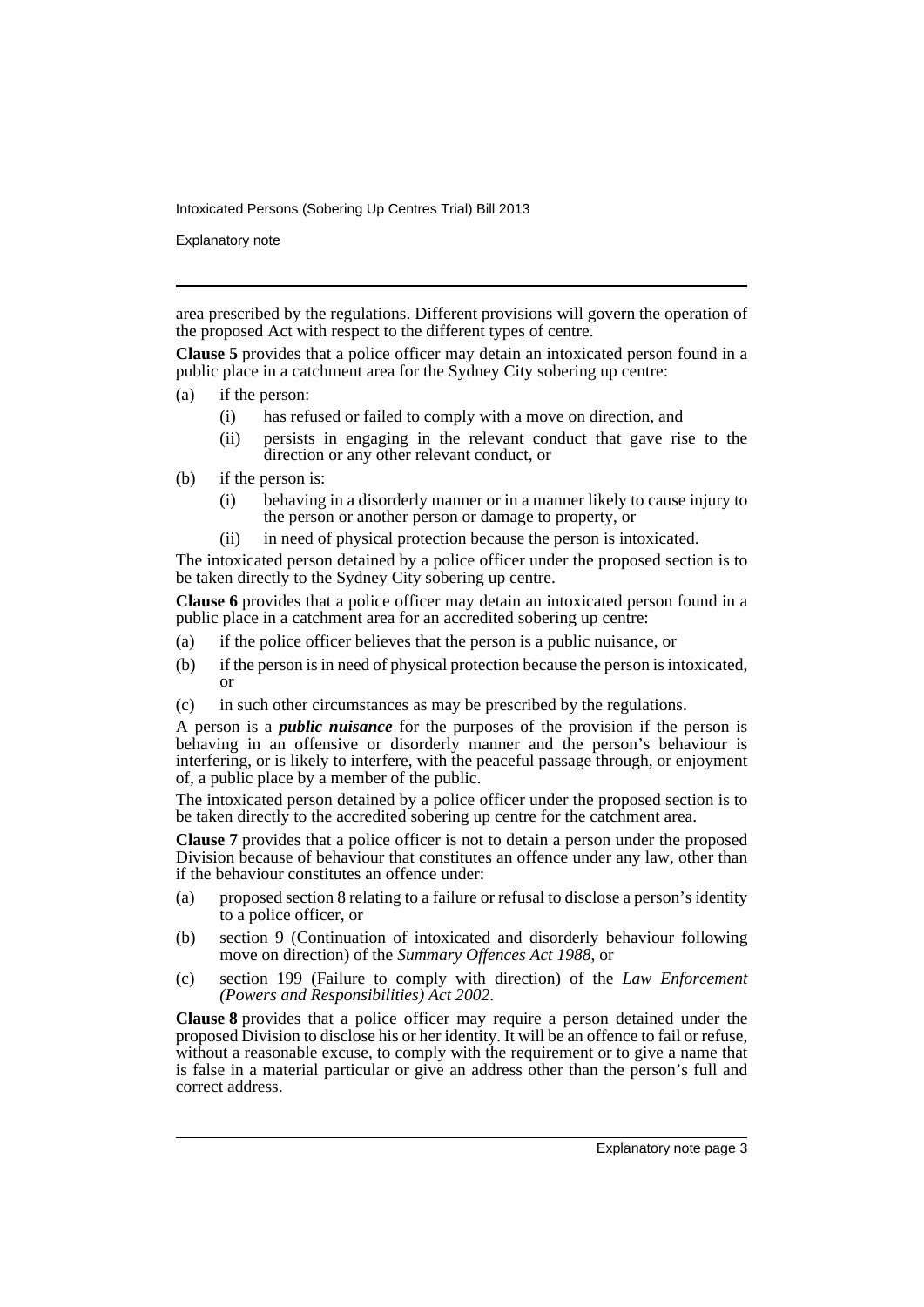Explanatory note

area prescribed by the regulations. Different provisions will govern the operation of the proposed Act with respect to the different types of centre.

**Clause 5** provides that a police officer may detain an intoxicated person found in a public place in a catchment area for the Sydney City sobering up centre:

- (a) if the person:
	- (i) has refused or failed to comply with a move on direction, and
	- (ii) persists in engaging in the relevant conduct that gave rise to the direction or any other relevant conduct, or
- (b) if the person is:
	- (i) behaving in a disorderly manner or in a manner likely to cause injury to the person or another person or damage to property, or
	- (ii) in need of physical protection because the person is intoxicated.

The intoxicated person detained by a police officer under the proposed section is to be taken directly to the Sydney City sobering up centre.

**Clause 6** provides that a police officer may detain an intoxicated person found in a public place in a catchment area for an accredited sobering up centre:

- (a) if the police officer believes that the person is a public nuisance, or
- (b) if the person is in need of physical protection because the person is intoxicated, or
- (c) in such other circumstances as may be prescribed by the regulations.

A person is a *public nuisance* for the purposes of the provision if the person is behaving in an offensive or disorderly manner and the person's behaviour is interfering, or is likely to interfere, with the peaceful passage through, or enjoyment of, a public place by a member of the public.

The intoxicated person detained by a police officer under the proposed section is to be taken directly to the accredited sobering up centre for the catchment area.

**Clause 7** provides that a police officer is not to detain a person under the proposed Division because of behaviour that constitutes an offence under any law, other than if the behaviour constitutes an offence under:

- (a) proposed section 8 relating to a failure or refusal to disclose a person's identity to a police officer, or
- (b) section 9 (Continuation of intoxicated and disorderly behaviour following move on direction) of the *Summary Offences Act 1988*, or
- (c) section 199 (Failure to comply with direction) of the *Law Enforcement (Powers and Responsibilities) Act 2002*.

**Clause 8** provides that a police officer may require a person detained under the proposed Division to disclose his or her identity. It will be an offence to fail or refuse, without a reasonable excuse, to comply with the requirement or to give a name that is false in a material particular or give an address other than the person's full and correct address.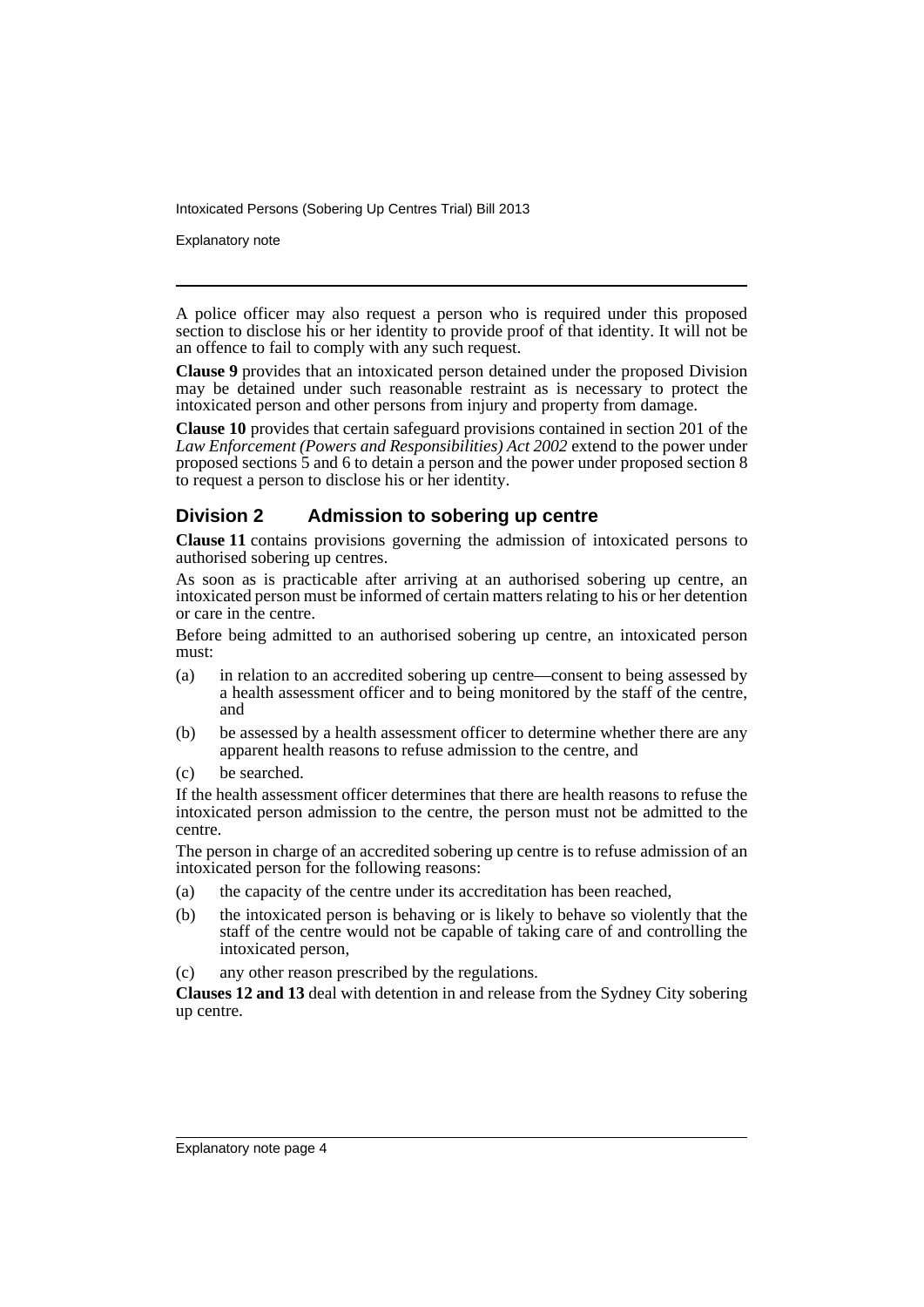Explanatory note

A police officer may also request a person who is required under this proposed section to disclose his or her identity to provide proof of that identity. It will not be an offence to fail to comply with any such request.

**Clause 9** provides that an intoxicated person detained under the proposed Division may be detained under such reasonable restraint as is necessary to protect the intoxicated person and other persons from injury and property from damage.

**Clause 10** provides that certain safeguard provisions contained in section 201 of the *Law Enforcement (Powers and Responsibilities) Act 2002* extend to the power under proposed sections 5 and 6 to detain a person and the power under proposed section 8 to request a person to disclose his or her identity.

## **Division 2 Admission to sobering up centre**

**Clause 11** contains provisions governing the admission of intoxicated persons to authorised sobering up centres.

As soon as is practicable after arriving at an authorised sobering up centre, an intoxicated person must be informed of certain matters relating to his or her detention or care in the centre.

Before being admitted to an authorised sobering up centre, an intoxicated person must:

- (a) in relation to an accredited sobering up centre—consent to being assessed by a health assessment officer and to being monitored by the staff of the centre, and
- (b) be assessed by a health assessment officer to determine whether there are any apparent health reasons to refuse admission to the centre, and
- (c) be searched.

If the health assessment officer determines that there are health reasons to refuse the intoxicated person admission to the centre, the person must not be admitted to the centre.

The person in charge of an accredited sobering up centre is to refuse admission of an intoxicated person for the following reasons:

- (a) the capacity of the centre under its accreditation has been reached,
- (b) the intoxicated person is behaving or is likely to behave so violently that the staff of the centre would not be capable of taking care of and controlling the intoxicated person,
- (c) any other reason prescribed by the regulations.

**Clauses 12 and 13** deal with detention in and release from the Sydney City sobering up centre.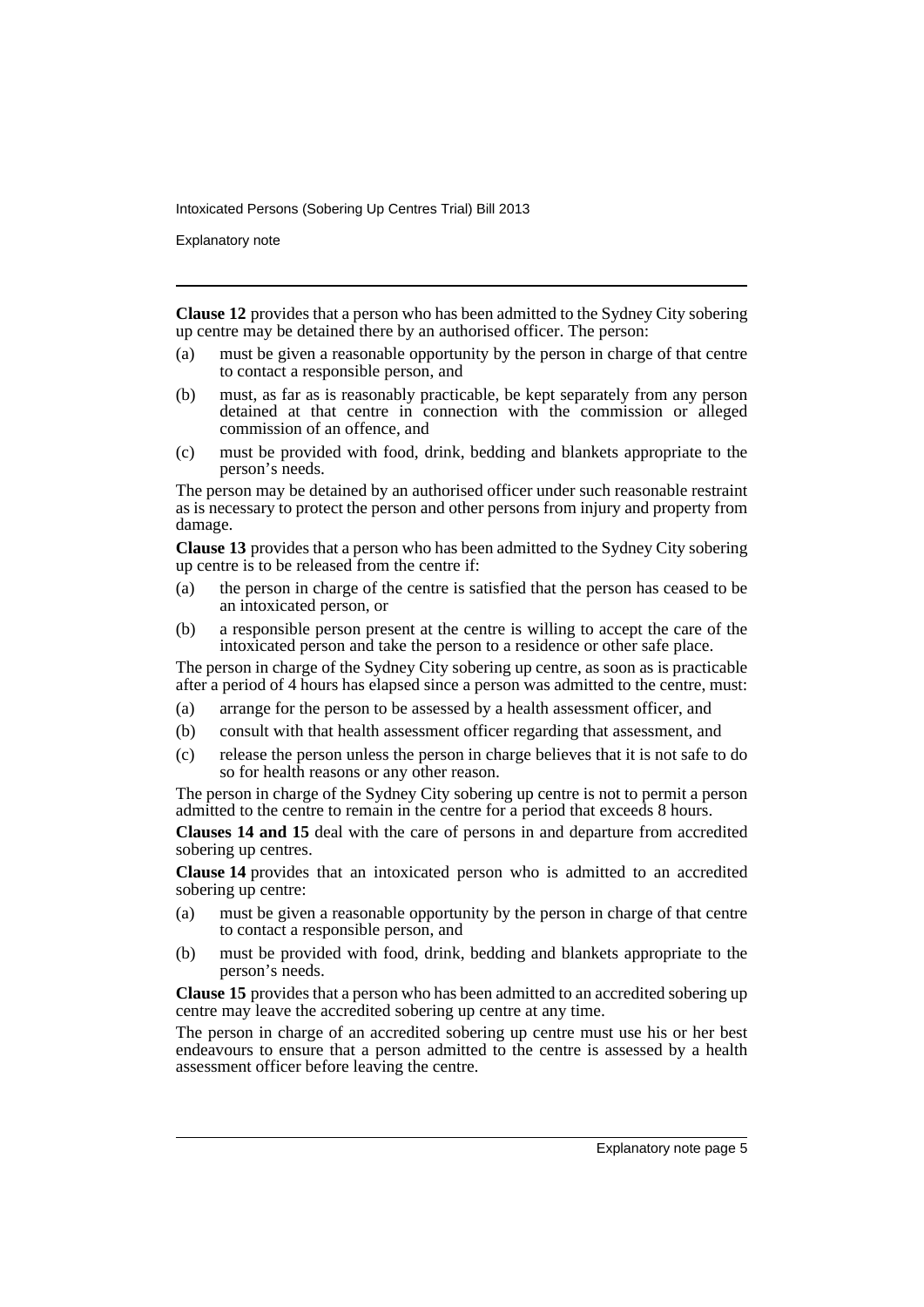Explanatory note

**Clause 12** provides that a person who has been admitted to the Sydney City sobering up centre may be detained there by an authorised officer. The person:

- (a) must be given a reasonable opportunity by the person in charge of that centre to contact a responsible person, and
- (b) must, as far as is reasonably practicable, be kept separately from any person detained at that centre in connection with the commission or alleged commission of an offence, and
- (c) must be provided with food, drink, bedding and blankets appropriate to the person's needs.

The person may be detained by an authorised officer under such reasonable restraint as is necessary to protect the person and other persons from injury and property from damage.

**Clause 13** provides that a person who has been admitted to the Sydney City sobering up centre is to be released from the centre if:

- (a) the person in charge of the centre is satisfied that the person has ceased to be an intoxicated person, or
- (b) a responsible person present at the centre is willing to accept the care of the intoxicated person and take the person to a residence or other safe place.

The person in charge of the Sydney City sobering up centre, as soon as is practicable after a period of 4 hours has elapsed since a person was admitted to the centre, must:

- (a) arrange for the person to be assessed by a health assessment officer, and
- (b) consult with that health assessment officer regarding that assessment, and
- (c) release the person unless the person in charge believes that it is not safe to do so for health reasons or any other reason.

The person in charge of the Sydney City sobering up centre is not to permit a person admitted to the centre to remain in the centre for a period that exceeds 8 hours.

**Clauses 14 and 15** deal with the care of persons in and departure from accredited sobering up centres.

**Clause 14** provides that an intoxicated person who is admitted to an accredited sobering up centre:

- (a) must be given a reasonable opportunity by the person in charge of that centre to contact a responsible person, and
- (b) must be provided with food, drink, bedding and blankets appropriate to the person's needs.

**Clause 15** provides that a person who has been admitted to an accredited sobering up centre may leave the accredited sobering up centre at any time.

The person in charge of an accredited sobering up centre must use his or her best endeavours to ensure that a person admitted to the centre is assessed by a health assessment officer before leaving the centre.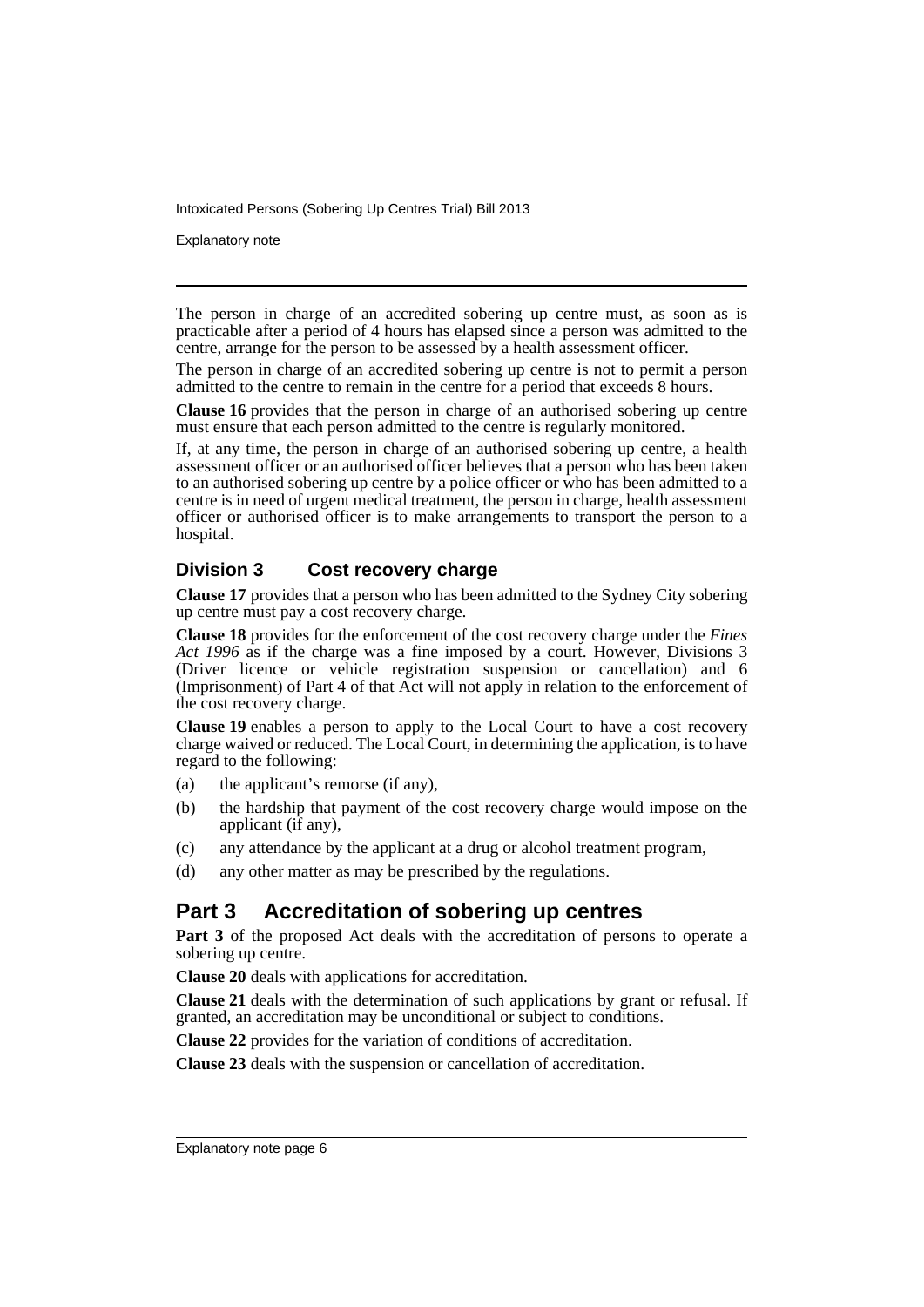Explanatory note

The person in charge of an accredited sobering up centre must, as soon as is practicable after a period of 4 hours has elapsed since a person was admitted to the centre, arrange for the person to be assessed by a health assessment officer.

The person in charge of an accredited sobering up centre is not to permit a person admitted to the centre to remain in the centre for a period that exceeds 8 hours.

**Clause 16** provides that the person in charge of an authorised sobering up centre must ensure that each person admitted to the centre is regularly monitored.

If, at any time, the person in charge of an authorised sobering up centre, a health assessment officer or an authorised officer believes that a person who has been taken to an authorised sobering up centre by a police officer or who has been admitted to a centre is in need of urgent medical treatment, the person in charge, health assessment officer or authorised officer is to make arrangements to transport the person to a hospital.

## **Division 3 Cost recovery charge**

**Clause 17** provides that a person who has been admitted to the Sydney City sobering up centre must pay a cost recovery charge.

**Clause 18** provides for the enforcement of the cost recovery charge under the *Fines Act 1996* as if the charge was a fine imposed by a court. However, Divisions 3 (Driver licence or vehicle registration suspension or cancellation) and 6 (Imprisonment) of Part 4 of that Act will not apply in relation to the enforcement of the cost recovery charge.

**Clause 19** enables a person to apply to the Local Court to have a cost recovery charge waived or reduced. The Local Court, in determining the application, is to have regard to the following:

- (a) the applicant's remorse (if any),
- (b) the hardship that payment of the cost recovery charge would impose on the applicant (if any),
- (c) any attendance by the applicant at a drug or alcohol treatment program,
- (d) any other matter as may be prescribed by the regulations.

## **Part 3 Accreditation of sobering up centres**

**Part 3** of the proposed Act deals with the accreditation of persons to operate a sobering up centre.

**Clause 20** deals with applications for accreditation.

**Clause 21** deals with the determination of such applications by grant or refusal. If granted, an accreditation may be unconditional or subject to conditions.

**Clause 22** provides for the variation of conditions of accreditation.

**Clause 23** deals with the suspension or cancellation of accreditation.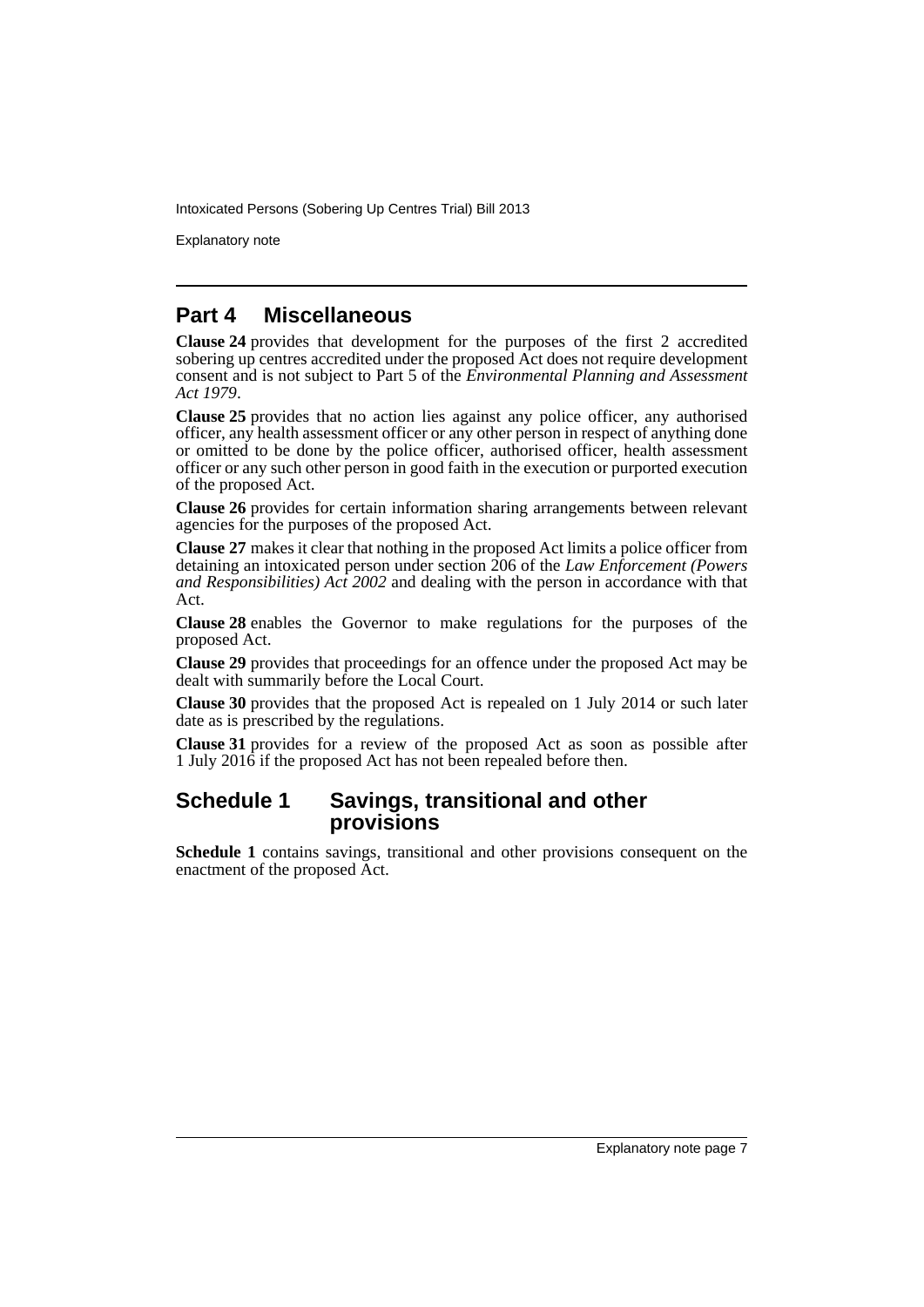Explanatory note

## **Part 4 Miscellaneous**

**Clause 24** provides that development for the purposes of the first 2 accredited sobering up centres accredited under the proposed Act does not require development consent and is not subject to Part 5 of the *Environmental Planning and Assessment Act 1979*.

**Clause 25** provides that no action lies against any police officer, any authorised officer, any health assessment officer or any other person in respect of anything done or omitted to be done by the police officer, authorised officer, health assessment officer or any such other person in good faith in the execution or purported execution of the proposed Act.

**Clause 26** provides for certain information sharing arrangements between relevant agencies for the purposes of the proposed Act.

**Clause 27** makes it clear that nothing in the proposed Act limits a police officer from detaining an intoxicated person under section 206 of the *Law Enforcement (Powers and Responsibilities) Act 2002* and dealing with the person in accordance with that Act.

**Clause 28** enables the Governor to make regulations for the purposes of the proposed Act.

**Clause 29** provides that proceedings for an offence under the proposed Act may be dealt with summarily before the Local Court.

**Clause 30** provides that the proposed Act is repealed on 1 July 2014 or such later date as is prescribed by the regulations.

**Clause 31** provides for a review of the proposed Act as soon as possible after 1 July 2016 if the proposed Act has not been repealed before then.

## **Schedule 1 Savings, transitional and other provisions**

**Schedule 1** contains savings, transitional and other provisions consequent on the enactment of the proposed Act.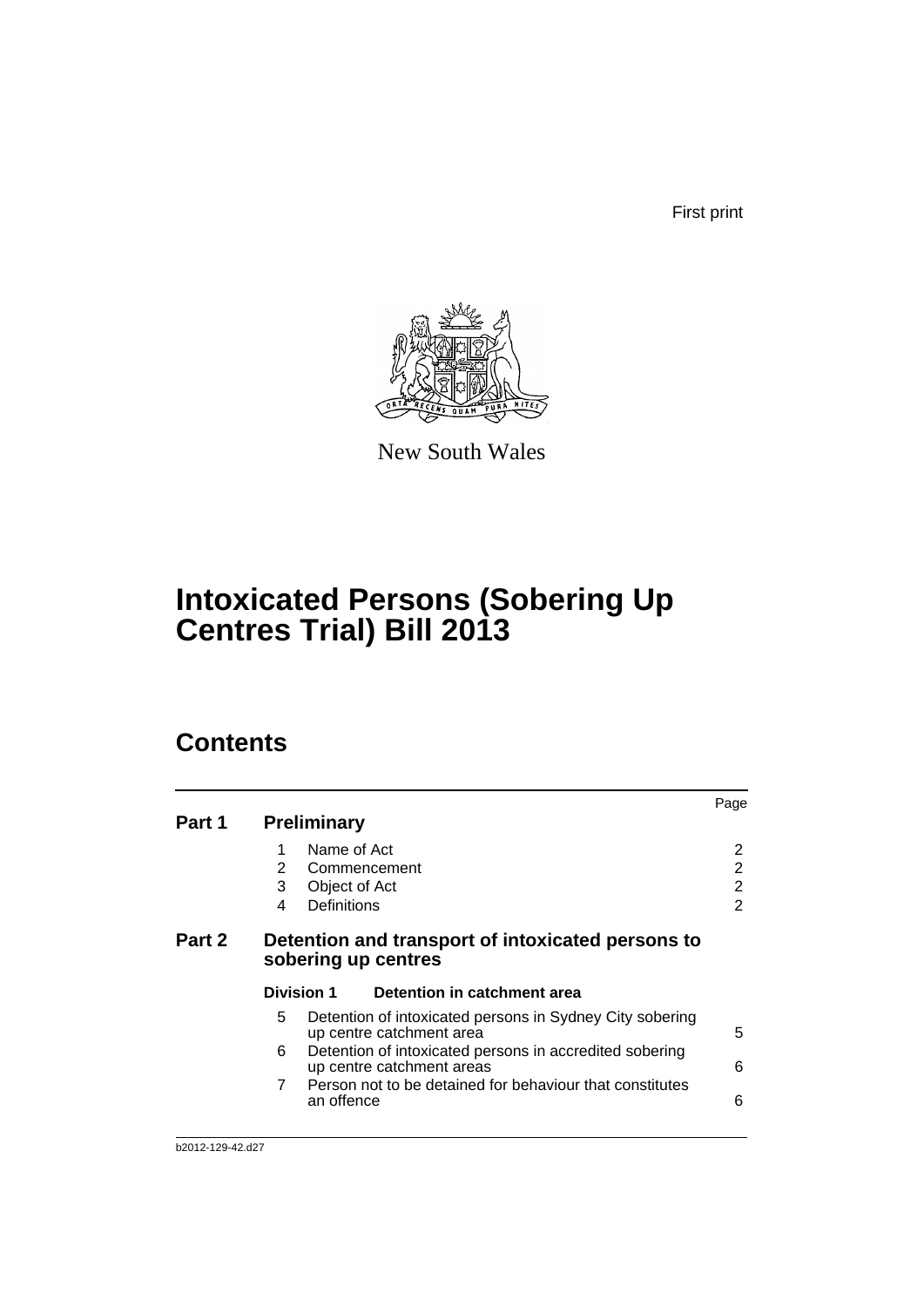First print



New South Wales

# **Intoxicated Persons (Sobering Up Centres Trial) Bill 2013**

# **Contents**

| Part 1 | <b>Preliminary</b>                                                       |                                                                                      | Page   |  |
|--------|--------------------------------------------------------------------------|--------------------------------------------------------------------------------------|--------|--|
|        | 1<br>2                                                                   | Name of Act<br>Commencement                                                          | 2<br>2 |  |
|        | 3<br>Definitions<br>4                                                    | Object of Act                                                                        | 2<br>2 |  |
| Part 2 | Detention and transport of intoxicated persons to<br>sobering up centres |                                                                                      |        |  |
|        | <b>Division 1</b>                                                        | Detention in catchment area                                                          |        |  |
|        | 5                                                                        | Detention of intoxicated persons in Sydney City sobering<br>up centre catchment area | 5      |  |
|        | 6                                                                        | Detention of intoxicated persons in accredited sobering<br>up centre catchment areas | 6      |  |
|        | 7<br>an offence                                                          | Person not to be detained for behaviour that constitutes                             | 6      |  |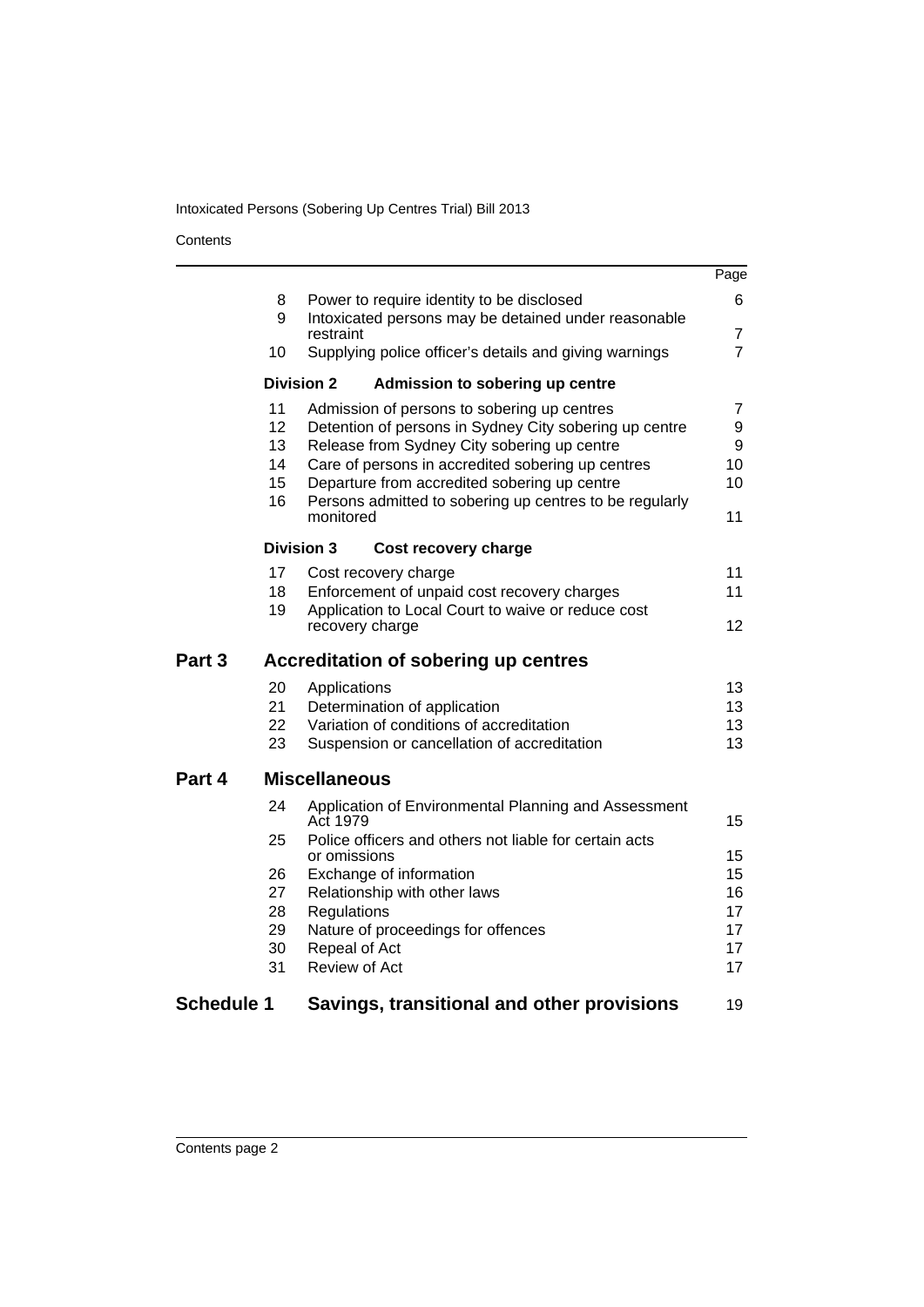#### **Contents**

|                   |                      |                                                                                                                                                                                                           | Page              |
|-------------------|----------------------|-----------------------------------------------------------------------------------------------------------------------------------------------------------------------------------------------------------|-------------------|
|                   | 8                    | Power to require identity to be disclosed                                                                                                                                                                 | 6                 |
|                   | 9                    | Intoxicated persons may be detained under reasonable<br>restraint                                                                                                                                         | 7                 |
|                   | 10                   | Supplying police officer's details and giving warnings                                                                                                                                                    | $\overline{7}$    |
|                   |                      | <b>Division 2</b><br>Admission to sobering up centre                                                                                                                                                      |                   |
|                   | 11<br>12<br>13<br>14 | Admission of persons to sobering up centres<br>Detention of persons in Sydney City sobering up centre<br>Release from Sydney City sobering up centre<br>Care of persons in accredited sobering up centres | 7<br>9<br>9<br>10 |
|                   | 15                   | Departure from accredited sobering up centre                                                                                                                                                              | 10                |
|                   | 16                   | Persons admitted to sobering up centres to be regularly<br>monitored                                                                                                                                      | 11                |
|                   |                      | <b>Division 3</b><br>Cost recovery charge                                                                                                                                                                 |                   |
|                   | 17<br>18             | Cost recovery charge<br>Enforcement of unpaid cost recovery charges                                                                                                                                       | 11<br>11          |
|                   | 19                   | Application to Local Court to waive or reduce cost                                                                                                                                                        |                   |
|                   |                      | recovery charge                                                                                                                                                                                           | 12                |
| Part 3            |                      | <b>Accreditation of sobering up centres</b>                                                                                                                                                               |                   |
|                   | 20                   | Applications                                                                                                                                                                                              | 13                |
|                   | 21<br>22             | Determination of application<br>Variation of conditions of accreditation                                                                                                                                  | 13<br>13          |
|                   | 23                   | Suspension or cancellation of accreditation                                                                                                                                                               | 13                |
| Part 4            |                      | <b>Miscellaneous</b>                                                                                                                                                                                      |                   |
|                   | 24                   | Application of Environmental Planning and Assessment<br>Act 1979                                                                                                                                          | 15                |
|                   | 25                   | Police officers and others not liable for certain acts<br>or omissions                                                                                                                                    | 15                |
|                   | 26                   | Exchange of information                                                                                                                                                                                   | 15                |
|                   | 27                   | Relationship with other laws                                                                                                                                                                              | 16                |
|                   | 28                   | Regulations                                                                                                                                                                                               | 17                |
|                   | 29<br>30             | Nature of proceedings for offences<br>Repeal of Act                                                                                                                                                       | 17<br>17          |
|                   | 31                   | Review of Act                                                                                                                                                                                             | 17                |
| <b>Schedule 1</b> |                      | Savings, transitional and other provisions                                                                                                                                                                | 19                |
|                   |                      |                                                                                                                                                                                                           |                   |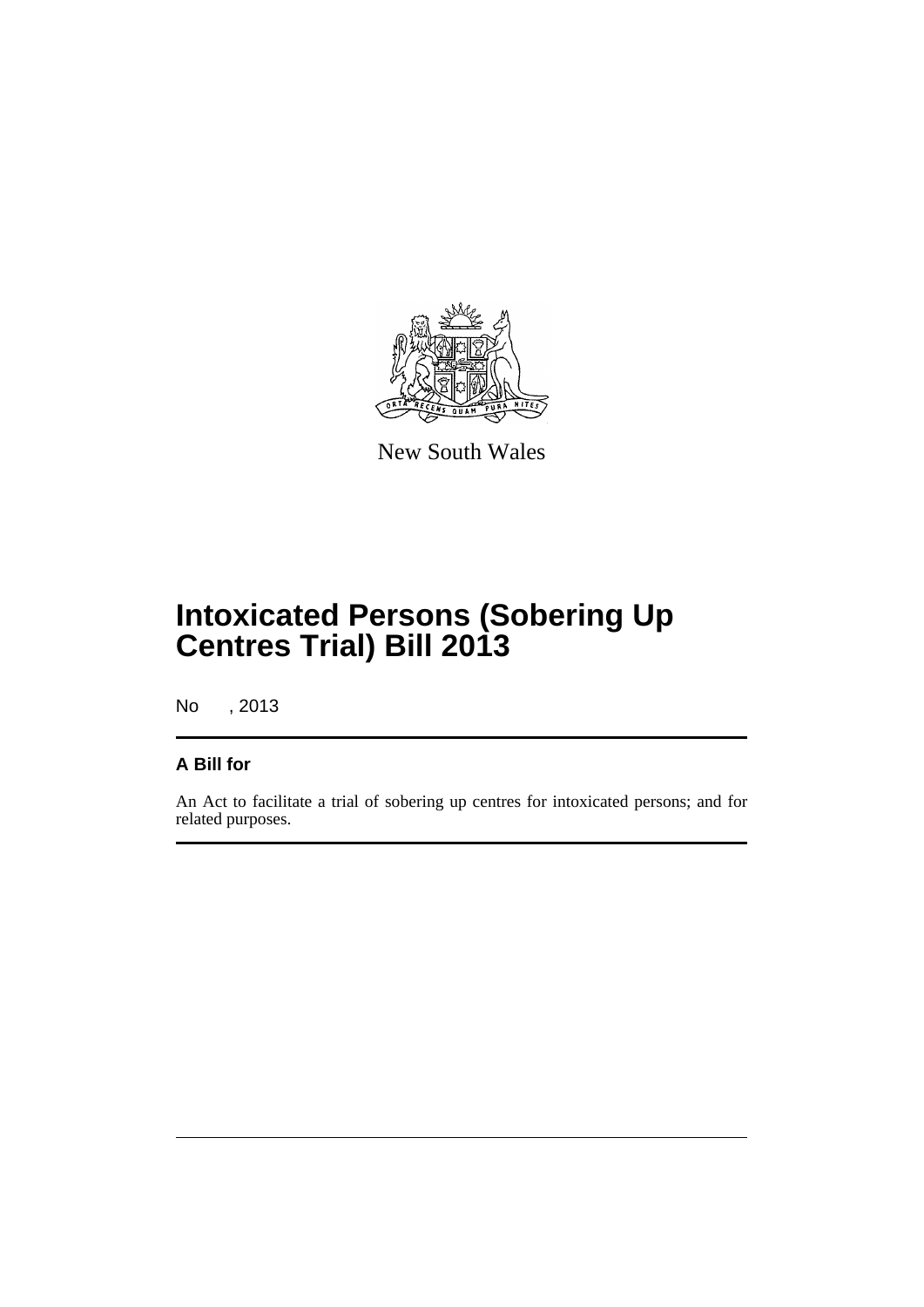

New South Wales

# **Intoxicated Persons (Sobering Up Centres Trial) Bill 2013**

No , 2013

## **A Bill for**

An Act to facilitate a trial of sobering up centres for intoxicated persons; and for related purposes.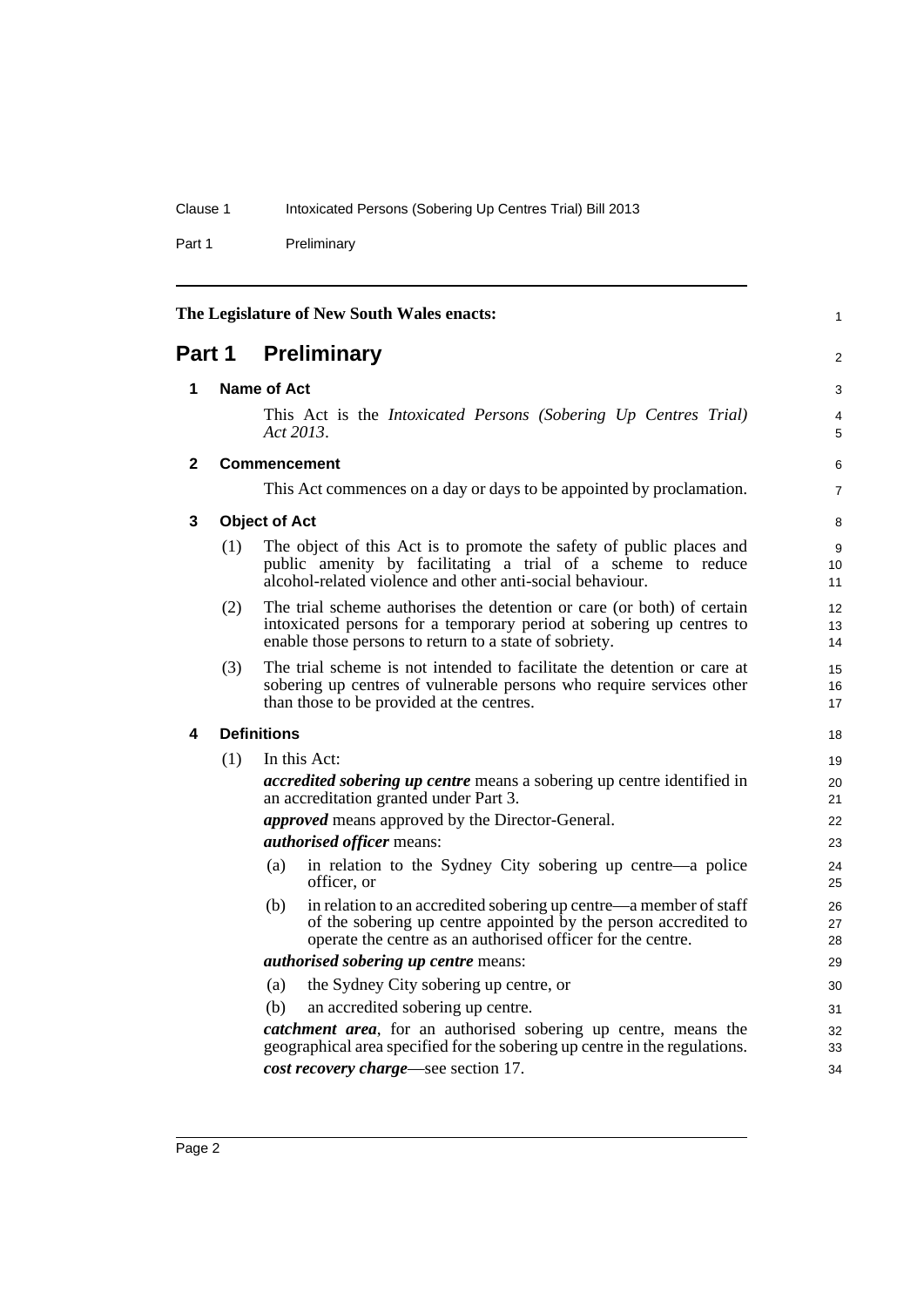Part 1 Preliminary

<span id="page-11-4"></span><span id="page-11-3"></span><span id="page-11-2"></span><span id="page-11-1"></span><span id="page-11-0"></span>

| The Legislature of New South Wales enacts: |                           |                                                                                                                                                                                                            |                |  |  |  |
|--------------------------------------------|---------------------------|------------------------------------------------------------------------------------------------------------------------------------------------------------------------------------------------------------|----------------|--|--|--|
|                                            | <b>Part 1 Preliminary</b> |                                                                                                                                                                                                            |                |  |  |  |
| 1                                          |                           | Name of Act                                                                                                                                                                                                |                |  |  |  |
|                                            |                           | This Act is the Intoxicated Persons (Sobering Up Centres Trial)<br>Act 2013.                                                                                                                               | 4<br>5         |  |  |  |
| $\mathbf{2}$                               |                           | <b>Commencement</b>                                                                                                                                                                                        | 6              |  |  |  |
|                                            |                           | This Act commences on a day or days to be appointed by proclamation.                                                                                                                                       | $\overline{7}$ |  |  |  |
| 3                                          |                           | <b>Object of Act</b>                                                                                                                                                                                       | 8              |  |  |  |
|                                            | (1)                       | The object of this Act is to promote the safety of public places and<br>public amenity by facilitating a trial of a scheme to reduce<br>alcohol-related violence and other anti-social behaviour.          | 9<br>10<br>11  |  |  |  |
|                                            | (2)                       | The trial scheme authorises the detention or care (or both) of certain<br>intoxicated persons for a temporary period at sobering up centres to<br>enable those persons to return to a state of sobriety.   | 12<br>13<br>14 |  |  |  |
|                                            | (3)                       | The trial scheme is not intended to facilitate the detention or care at<br>sobering up centres of vulnerable persons who require services other<br>than those to be provided at the centres.               | 15<br>16<br>17 |  |  |  |
| 4                                          |                           | <b>Definitions</b>                                                                                                                                                                                         | 18             |  |  |  |
|                                            | (1)                       | In this Act:                                                                                                                                                                                               | 19             |  |  |  |
|                                            |                           | <i>accredited sobering up centre</i> means a sobering up centre identified in<br>an accreditation granted under Part 3.                                                                                    | 20<br>21       |  |  |  |
|                                            |                           | <i>approved</i> means approved by the Director-General.                                                                                                                                                    | 22             |  |  |  |
|                                            |                           | <i>authorised officer means:</i>                                                                                                                                                                           | 23             |  |  |  |
|                                            |                           | in relation to the Sydney City sobering up centre—a police<br>(a)<br>officer, or                                                                                                                           | 24<br>25       |  |  |  |
|                                            |                           | in relation to an accredited sobering up centre—a member of staff<br>(b)<br>of the sobering up centre appointed by the person accredited to<br>operate the centre as an authorised officer for the centre. | 26<br>27<br>28 |  |  |  |
|                                            |                           | <i>authorised sobering up centre means:</i>                                                                                                                                                                | 29             |  |  |  |
|                                            |                           | the Sydney City sobering up centre, or<br>(a)                                                                                                                                                              | 30             |  |  |  |
|                                            |                           | an accredited sobering up centre.<br>(b)                                                                                                                                                                   | 31             |  |  |  |
|                                            |                           | catchment area, for an authorised sobering up centre, means the<br>geographical area specified for the sobering up centre in the regulations.                                                              | 32<br>33       |  |  |  |
|                                            |                           | cost recovery charge—see section 17.                                                                                                                                                                       | 34             |  |  |  |
|                                            |                           |                                                                                                                                                                                                            |                |  |  |  |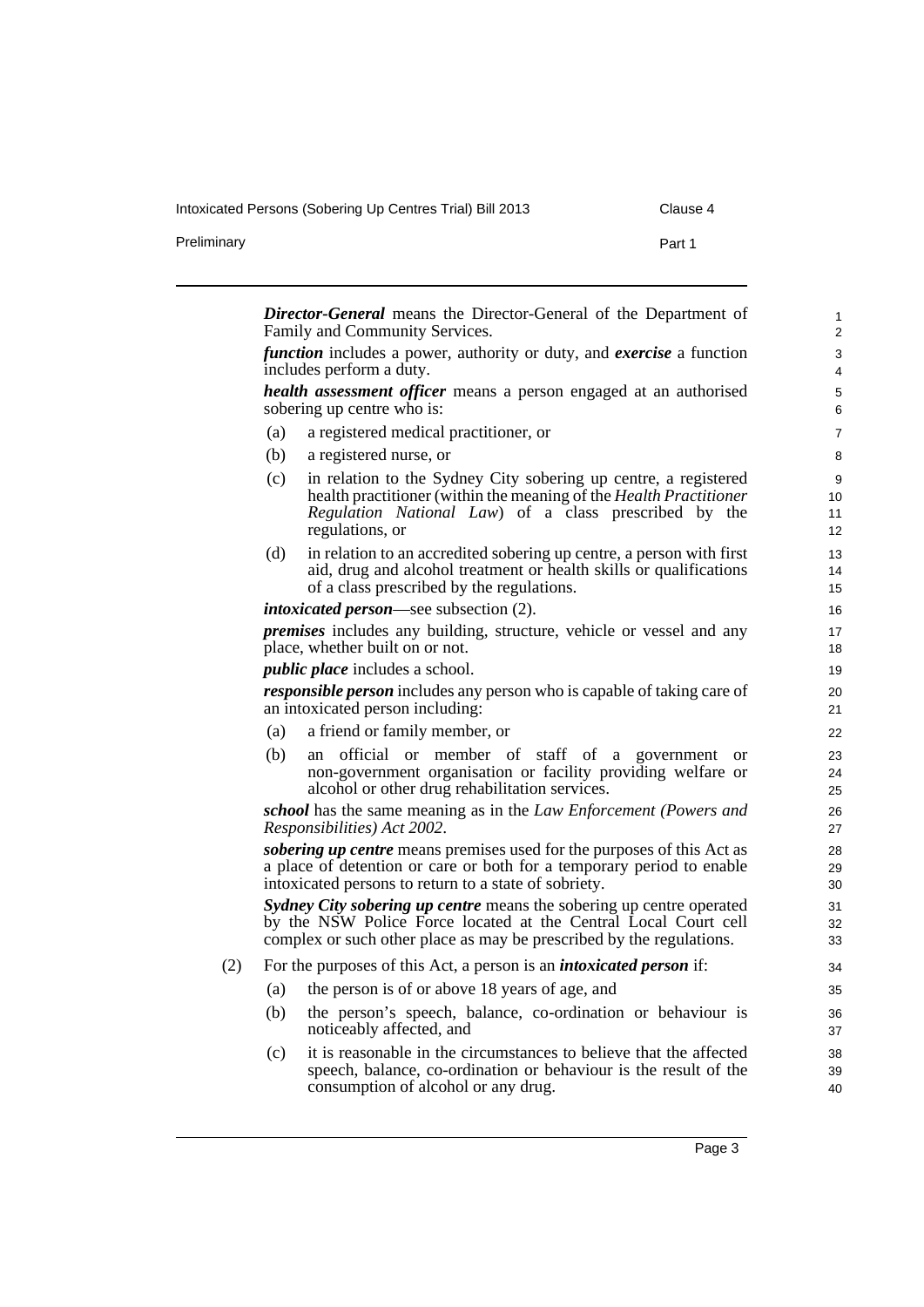Preliminary **Part 1** 

|  |  | Clause 4 |  |
|--|--|----------|--|
|  |  |          |  |

|     | <b>Director-General</b> means the Director-General of the Department of                                                                                                                                           |                                |
|-----|-------------------------------------------------------------------------------------------------------------------------------------------------------------------------------------------------------------------|--------------------------------|
|     | Family and Community Services.                                                                                                                                                                                    | $\mathbf{1}$<br>$\overline{2}$ |
|     | <i>function</i> includes a power, authority or duty, and <i>exercise</i> a function<br>includes perform a duty.                                                                                                   | 3<br>4                         |
|     | health assessment officer means a person engaged at an authorised<br>sobering up centre who is:                                                                                                                   | 5<br>6                         |
| (a) | a registered medical practitioner, or                                                                                                                                                                             | 7                              |
| (b) | a registered nurse, or                                                                                                                                                                                            | 8                              |
| (c) | in relation to the Sydney City sobering up centre, a registered<br>health practitioner (within the meaning of the Health Practitioner<br>Regulation National Law) of a class prescribed by the<br>regulations, or | 9<br>10<br>11<br>12            |
| (d) | in relation to an accredited sobering up centre, a person with first<br>aid, drug and alcohol treatment or health skills or qualifications<br>of a class prescribed by the regulations.                           | 13<br>14<br>15                 |
|     | <i>intoxicated person</i> —see subsection (2).                                                                                                                                                                    | 16                             |
|     | <i>premises</i> includes any building, structure, vehicle or vessel and any<br>place, whether built on or not.                                                                                                    | 17<br>18                       |
|     | <i>public place</i> includes a school.                                                                                                                                                                            | 19                             |
|     | responsible person includes any person who is capable of taking care of<br>an intoxicated person including:                                                                                                       | 20<br>21                       |
| (a) | a friend or family member, or                                                                                                                                                                                     | 22                             |
| (b) | official or member of staff of a government<br>an<br><sub>or</sub><br>non-government organisation or facility providing welfare or<br>alcohol or other drug rehabilitation services.                              | 23<br>24<br>25                 |
|     | school has the same meaning as in the Law Enforcement (Powers and<br>Responsibilities) Act 2002.                                                                                                                  | 26<br>27                       |
|     | sobering up centre means premises used for the purposes of this Act as<br>a place of detention or care or both for a temporary period to enable<br>intoxicated persons to return to a state of sobriety.          | 28<br>29<br>30                 |
|     | Sydney City sobering up centre means the sobering up centre operated<br>by the NSW Police Force located at the Central Local Court cell<br>complex or such other place as may be prescribed by the regulations.   | 31<br>32<br>33                 |
|     | For the purposes of this Act, a person is an <i>intoxicated person</i> if:                                                                                                                                        | 34                             |
| (a) | the person is of or above 18 years of age, and                                                                                                                                                                    | 35                             |
| (b) | the person's speech, balance, co-ordination or behaviour is<br>noticeably affected, and                                                                                                                           | 36<br>37                       |
| (c) | it is reasonable in the circumstances to believe that the affected<br>speech, balance, co-ordination or behaviour is the result of the<br>consumption of alcohol or any drug.                                     | 38<br>39<br>40                 |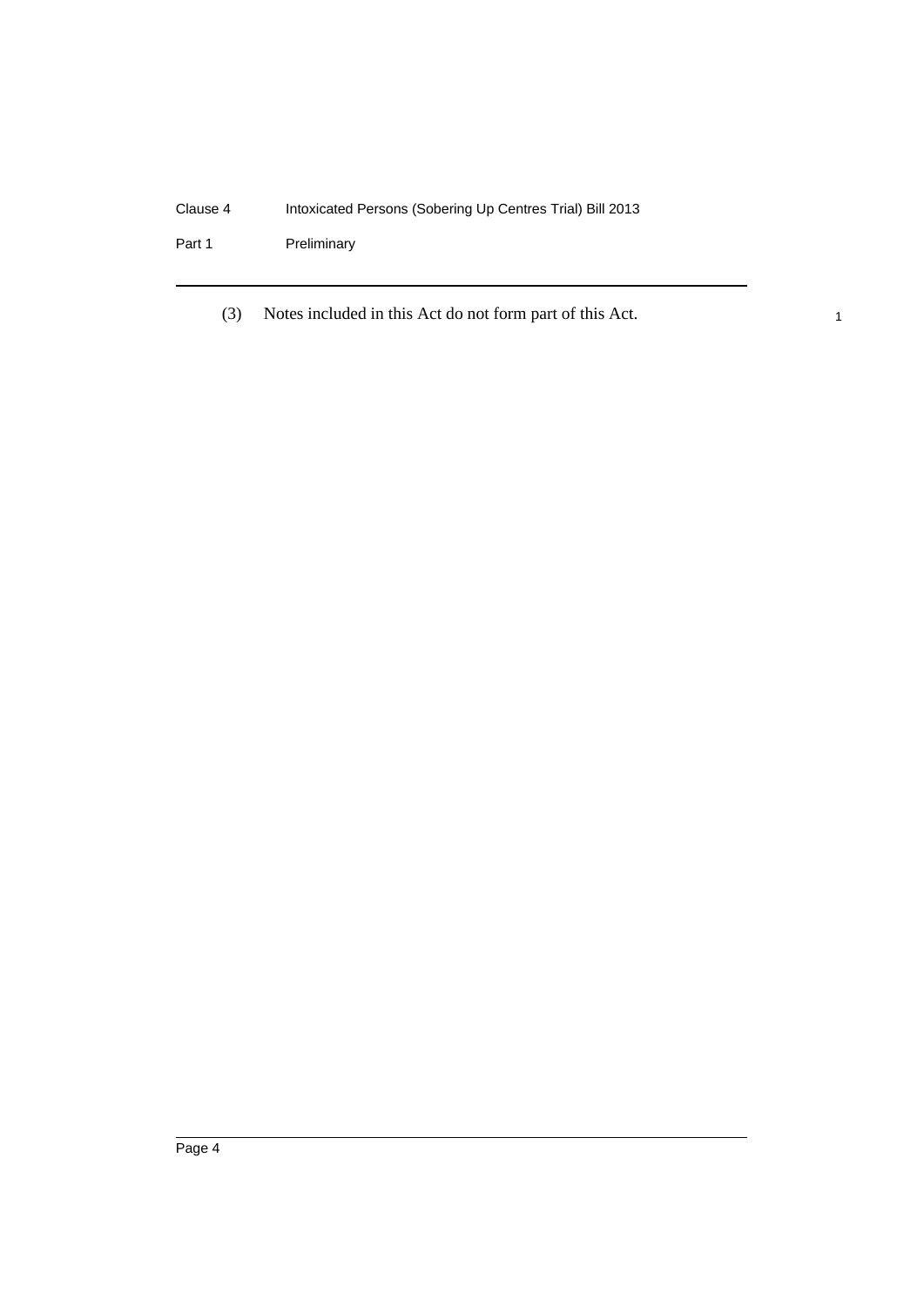Part 1 Preliminary

(3) Notes included in this Act do not form part of this Act.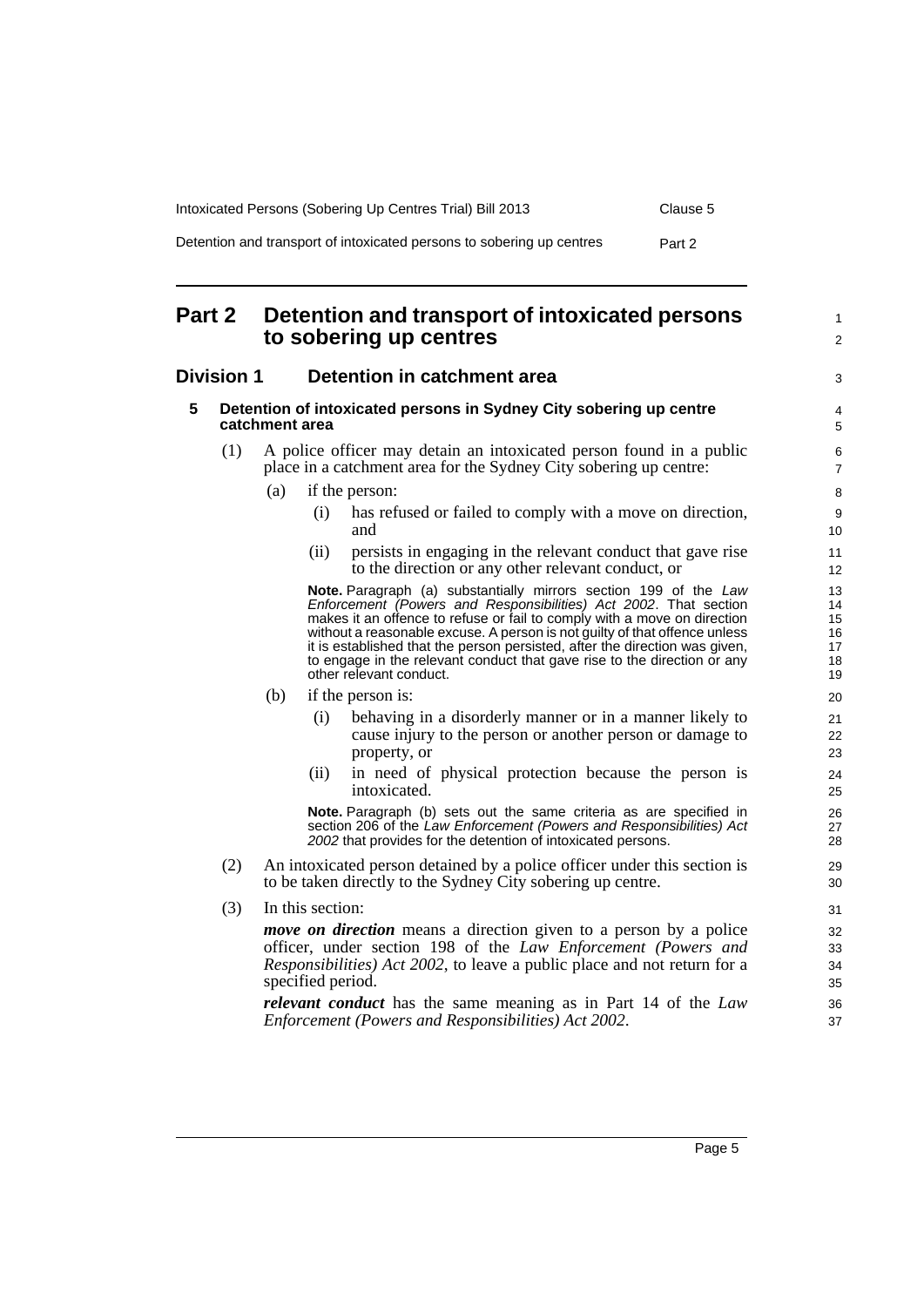| Intoxicated Persons (Sobering Up Centres Trial) Bill 2013             | Clause 5 |
|-----------------------------------------------------------------------|----------|
| Detention and transport of intoxicated persons to sobering up centres | Part 2   |

# <span id="page-14-0"></span>**Part 2 Detention and transport of intoxicated persons to sobering up centres**

## <span id="page-14-2"></span><span id="page-14-1"></span>**Division 1 Detention in catchment area**

| ivision 1 |     | Detention in catchment area                                                                                                              |                                                                                      | 3                                                                                                                                                                                                                                                                                                                                                                                                                                                                                    |                                        |
|-----------|-----|------------------------------------------------------------------------------------------------------------------------------------------|--------------------------------------------------------------------------------------|--------------------------------------------------------------------------------------------------------------------------------------------------------------------------------------------------------------------------------------------------------------------------------------------------------------------------------------------------------------------------------------------------------------------------------------------------------------------------------------|----------------------------------------|
| 5         |     |                                                                                                                                          | Detention of intoxicated persons in Sydney City sobering up centre<br>catchment area |                                                                                                                                                                                                                                                                                                                                                                                                                                                                                      |                                        |
|           | (1) | A police officer may detain an intoxicated person found in a public<br>place in a catchment area for the Sydney City sobering up centre: |                                                                                      |                                                                                                                                                                                                                                                                                                                                                                                                                                                                                      |                                        |
|           |     | (a)                                                                                                                                      |                                                                                      | if the person:                                                                                                                                                                                                                                                                                                                                                                                                                                                                       | 8                                      |
|           |     |                                                                                                                                          | (i)                                                                                  | has refused or failed to comply with a move on direction,<br>and                                                                                                                                                                                                                                                                                                                                                                                                                     | 9<br>10                                |
|           |     |                                                                                                                                          | (ii)                                                                                 | persists in engaging in the relevant conduct that gave rise<br>to the direction or any other relevant conduct, or                                                                                                                                                                                                                                                                                                                                                                    | 11<br>12                               |
|           |     |                                                                                                                                          |                                                                                      | Note. Paragraph (a) substantially mirrors section 199 of the Law<br>Enforcement (Powers and Responsibilities) Act 2002. That section<br>makes it an offence to refuse or fail to comply with a move on direction<br>without a reasonable excuse. A person is not guilty of that offence unless<br>it is established that the person persisted, after the direction was given,<br>to engage in the relevant conduct that gave rise to the direction or any<br>other relevant conduct. | 13<br>14<br>15<br>16<br>17<br>18<br>19 |
|           |     | (b)                                                                                                                                      |                                                                                      | if the person is:                                                                                                                                                                                                                                                                                                                                                                                                                                                                    | 20                                     |
|           |     |                                                                                                                                          | (i)                                                                                  | behaving in a disorderly manner or in a manner likely to<br>cause injury to the person or another person or damage to<br>property, or                                                                                                                                                                                                                                                                                                                                                | 21<br>22<br>23                         |
|           |     |                                                                                                                                          | (ii)                                                                                 | in need of physical protection because the person is<br>intoxicated.                                                                                                                                                                                                                                                                                                                                                                                                                 | 24<br>25                               |
|           |     |                                                                                                                                          |                                                                                      | Note. Paragraph (b) sets out the same criteria as are specified in<br>section 206 of the Law Enforcement (Powers and Responsibilities) Act<br>2002 that provides for the detention of intoxicated persons.                                                                                                                                                                                                                                                                           | 26<br>27<br>28                         |
|           | (2) |                                                                                                                                          |                                                                                      | An intoxicated person detained by a police officer under this section is<br>to be taken directly to the Sydney City sobering up centre.                                                                                                                                                                                                                                                                                                                                              | 29<br>30                               |
|           | (3) |                                                                                                                                          | In this section:                                                                     |                                                                                                                                                                                                                                                                                                                                                                                                                                                                                      | 31                                     |
|           |     |                                                                                                                                          | specified period.                                                                    | <i>move on direction</i> means a direction given to a person by a police<br>officer, under section 198 of the Law Enforcement (Powers and<br><i>Responsibilities</i> ) <i>Act 2002</i> , to leave a public place and not return for a                                                                                                                                                                                                                                                | 32<br>33<br>34<br>35                   |
|           |     |                                                                                                                                          |                                                                                      | <i>relevant conduct</i> has the same meaning as in Part 14 of the Law<br>Enforcement (Powers and Responsibilities) Act 2002.                                                                                                                                                                                                                                                                                                                                                         | 36<br>37                               |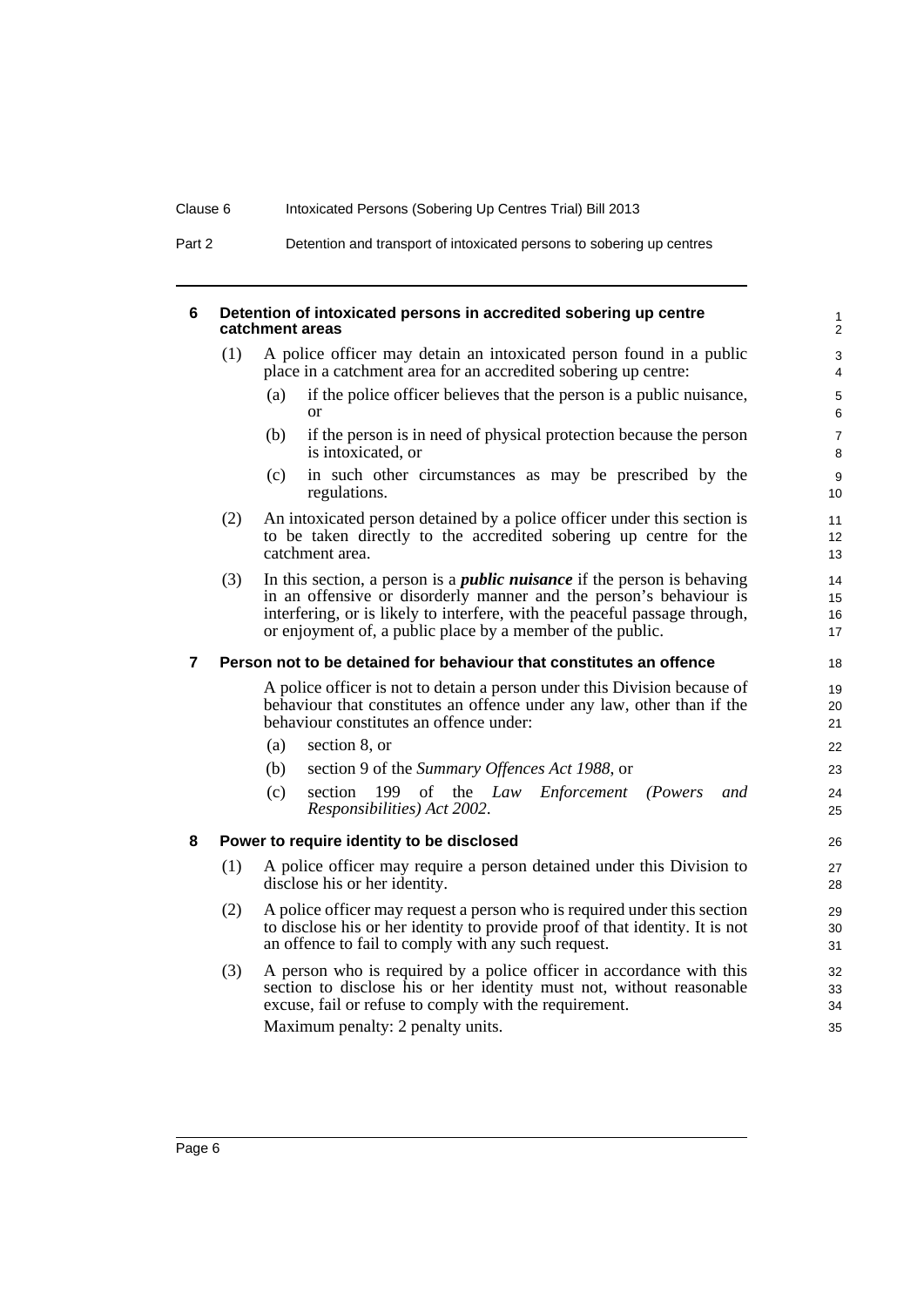#### <span id="page-15-0"></span>**6 Detention of intoxicated persons in accredited sobering up centre catchment areas**

- (1) A police officer may detain an intoxicated person found in a public place in a catchment area for an accredited sobering up centre:
	- (a) if the police officer believes that the person is a public nuisance, or

- (b) if the person is in need of physical protection because the person is intoxicated, or
- (c) in such other circumstances as may be prescribed by the regulations.
- (2) An intoxicated person detained by a police officer under this section is to be taken directly to the accredited sobering up centre for the catchment area.
- (3) In this section, a person is a *public nuisance* if the person is behaving in an offensive or disorderly manner and the person's behaviour is interfering, or is likely to interfere, with the peaceful passage through, or enjoyment of, a public place by a member of the public.

#### <span id="page-15-1"></span>**7 Person not to be detained for behaviour that constitutes an offence**

A police officer is not to detain a person under this Division because of behaviour that constitutes an offence under any law, other than if the behaviour constitutes an offence under:

- (a) section 8, or
- (b) section 9 of the *Summary Offences Act 1988*, or
- (c) section 199 of the *Law Enforcement (Powers and Responsibilities) Act 2002*.

#### <span id="page-15-2"></span>**8 Power to require identity to be disclosed**

- (1) A police officer may require a person detained under this Division to disclose his or her identity.
- (2) A police officer may request a person who is required under this section to disclose his or her identity to provide proof of that identity. It is not an offence to fail to comply with any such request.
- (3) A person who is required by a police officer in accordance with this section to disclose his or her identity must not, without reasonable excuse, fail or refuse to comply with the requirement. Maximum penalty: 2 penalty units.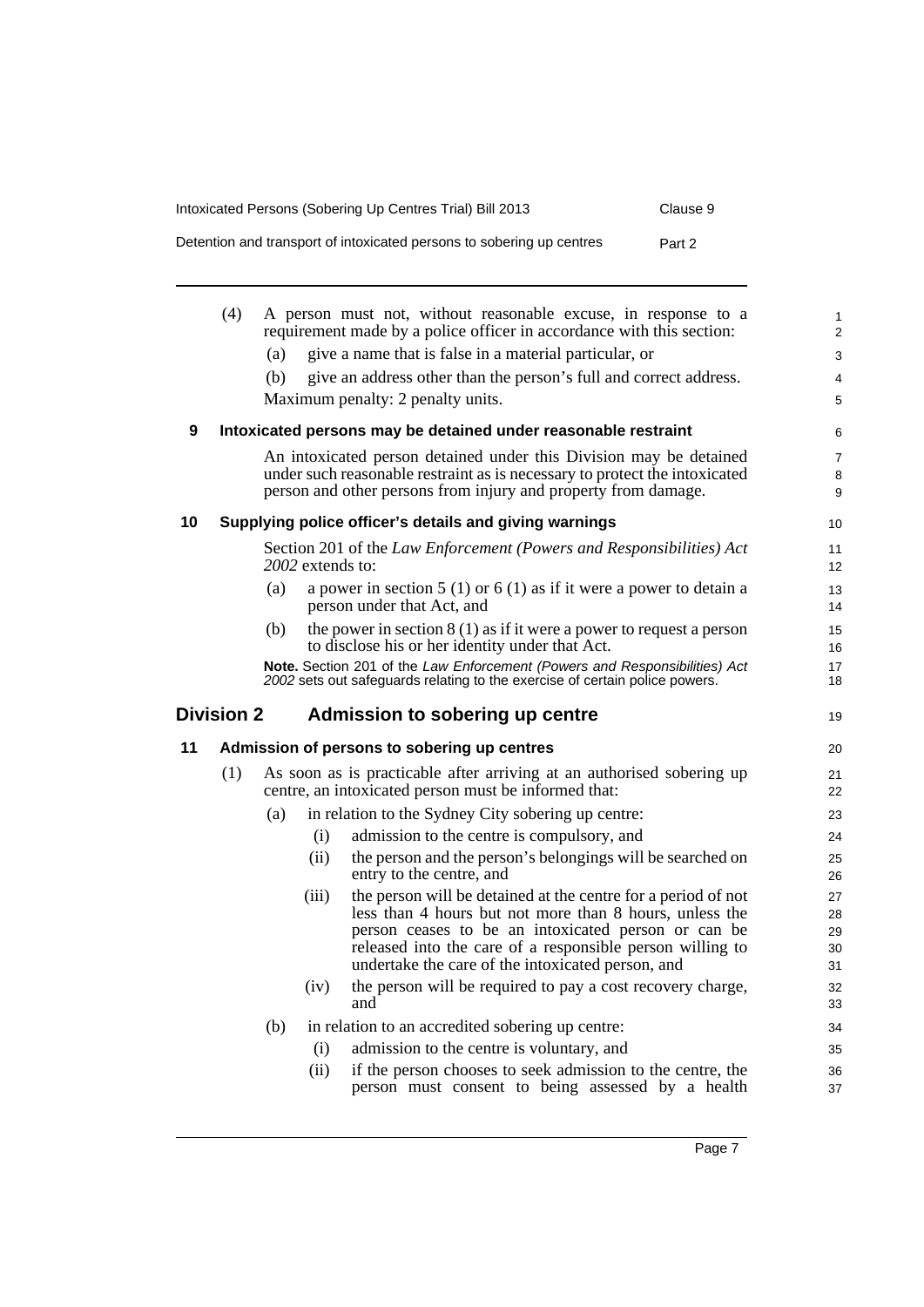| Intoxicated Persons (Sobering Up Centres Trial) Bill 2013             | Clause 9 |
|-----------------------------------------------------------------------|----------|
| Detention and transport of intoxicated persons to sobering up centres | Part 2   |

<span id="page-16-3"></span><span id="page-16-2"></span><span id="page-16-1"></span><span id="page-16-0"></span>

|    | (4)               |     |                  | A person must not, without reasonable excuse, in response to a<br>requirement made by a police officer in accordance with this section:                   | $\mathbf{1}$<br>$\overline{2}$ |
|----|-------------------|-----|------------------|-----------------------------------------------------------------------------------------------------------------------------------------------------------|--------------------------------|
|    |                   | (a) |                  | give a name that is false in a material particular, or                                                                                                    | 3                              |
|    |                   | (b) |                  | give an address other than the person's full and correct address.                                                                                         | 4                              |
|    |                   |     |                  | Maximum penalty: 2 penalty units.                                                                                                                         | 5                              |
| 9  |                   |     |                  | Intoxicated persons may be detained under reasonable restraint                                                                                            | 6                              |
|    |                   |     |                  | An intoxicated person detained under this Division may be detained                                                                                        | 7                              |
|    |                   |     |                  | under such reasonable restraint as is necessary to protect the intoxicated<br>person and other persons from injury and property from damage.              | 8<br>9                         |
| 10 |                   |     |                  | Supplying police officer's details and giving warnings                                                                                                    | 10                             |
|    |                   |     | 2002 extends to: | Section 201 of the Law Enforcement (Powers and Responsibilities) Act                                                                                      | 11<br>12                       |
|    |                   | (a) |                  | a power in section 5 (1) or 6 (1) as if it were a power to detain a<br>person under that Act, and                                                         | 13<br>14                       |
|    |                   | (b) |                  | the power in section $8(1)$ as if it were a power to request a person<br>to disclose his or her identity under that Act.                                  | 15<br>16                       |
|    |                   |     |                  | Note. Section 201 of the Law Enforcement (Powers and Responsibilities) Act<br>2002 sets out safeguards relating to the exercise of certain police powers. | 17<br>18                       |
|    | <b>Division 2</b> |     |                  | Admission to sobering up centre                                                                                                                           | 19                             |
| 11 |                   |     |                  | Admission of persons to sobering up centres                                                                                                               | 20                             |
|    | (1)               |     |                  | As soon as is practicable after arriving at an authorised sobering up<br>centre, an intoxicated person must be informed that:                             | 21<br>22                       |
|    |                   | (a) |                  | in relation to the Sydney City sobering up centre:                                                                                                        | 23                             |
|    |                   |     | (i)              | admission to the centre is compulsory, and                                                                                                                | 24                             |
|    |                   |     | (ii)             | the person and the person's belongings will be searched on<br>entry to the centre, and                                                                    | 25<br>26                       |
|    |                   |     | (iii)            | the person will be detained at the centre for a period of not                                                                                             | 27                             |
|    |                   |     |                  | less than 4 hours but not more than 8 hours, unless the                                                                                                   | 28                             |
|    |                   |     |                  | person ceases to be an intoxicated person or can be<br>released into the care of a responsible person willing to                                          | 29<br>30                       |
|    |                   |     |                  | undertake the care of the intoxicated person, and                                                                                                         | 31                             |
|    |                   |     |                  |                                                                                                                                                           |                                |
|    |                   |     |                  |                                                                                                                                                           | 32                             |
|    |                   |     | (iv)             | the person will be required to pay a cost recovery charge,<br>and                                                                                         | 33                             |
|    |                   | (b) |                  | in relation to an accredited sobering up centre:                                                                                                          | 34                             |
|    |                   |     | (i)              | admission to the centre is voluntary, and                                                                                                                 | 35                             |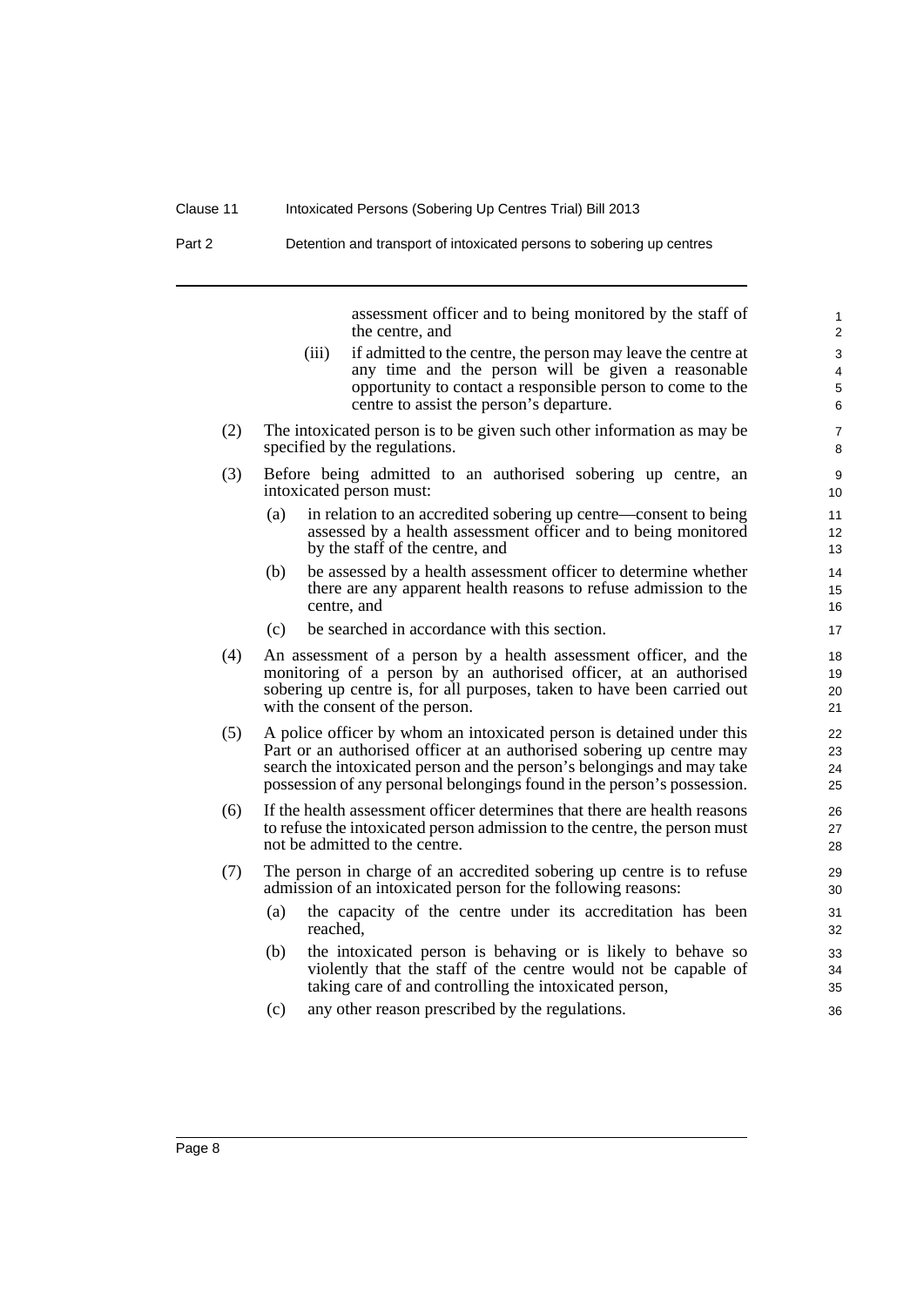assessment officer and to being monitored by the staff of the centre, and

- (iii) if admitted to the centre, the person may leave the centre at any time and the person will be given a reasonable opportunity to contact a responsible person to come to the centre to assist the person's departure.
- (2) The intoxicated person is to be given such other information as may be specified by the regulations.
- (3) Before being admitted to an authorised sobering up centre, an intoxicated person must:
	- (a) in relation to an accredited sobering up centre—consent to being assessed by a health assessment officer and to being monitored by the staff of the centre, and
	- (b) be assessed by a health assessment officer to determine whether there are any apparent health reasons to refuse admission to the centre, and
	- (c) be searched in accordance with this section.
- (4) An assessment of a person by a health assessment officer, and the monitoring of a person by an authorised officer, at an authorised sobering up centre is, for all purposes, taken to have been carried out with the consent of the person.
- (5) A police officer by whom an intoxicated person is detained under this Part or an authorised officer at an authorised sobering up centre may search the intoxicated person and the person's belongings and may take possession of any personal belongings found in the person's possession.
- (6) If the health assessment officer determines that there are health reasons to refuse the intoxicated person admission to the centre, the person must not be admitted to the centre.
- (7) The person in charge of an accredited sobering up centre is to refuse admission of an intoxicated person for the following reasons:
	- (a) the capacity of the centre under its accreditation has been reached,
	- (b) the intoxicated person is behaving or is likely to behave so violently that the staff of the centre would not be capable of taking care of and controlling the intoxicated person,
	- (c) any other reason prescribed by the regulations.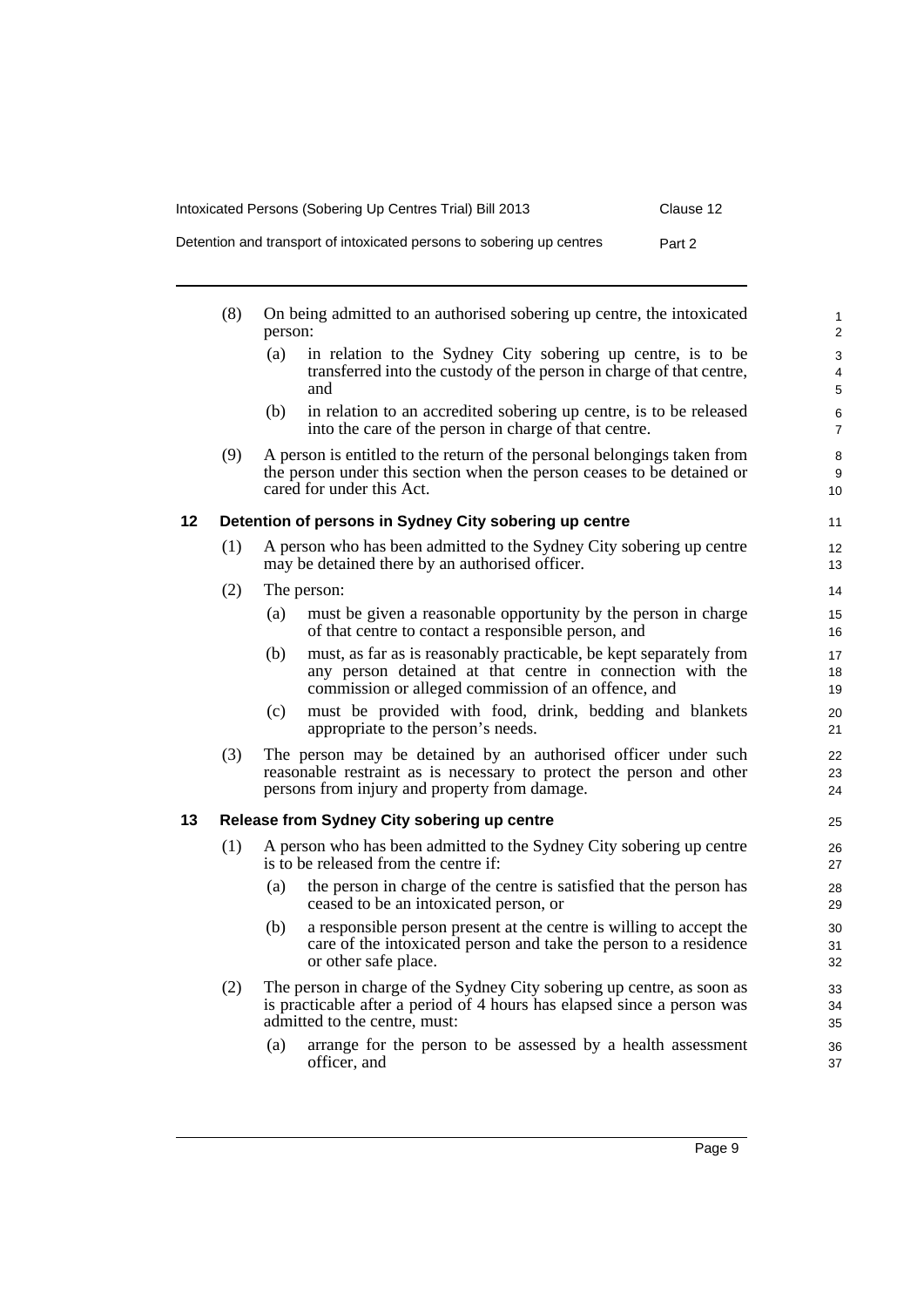Intoxicated Persons (Sobering Up Centres Trial) Bill 2013 Clause 12

Detention and transport of intoxicated persons to sobering up centres Part 2

<span id="page-18-1"></span><span id="page-18-0"></span>

|    | (8) | On being admitted to an authorised sobering up centre, the intoxicated<br>person:                                                                                                             | $\mathbf{1}$<br>$\overline{2}$ |
|----|-----|-----------------------------------------------------------------------------------------------------------------------------------------------------------------------------------------------|--------------------------------|
|    |     | in relation to the Sydney City sobering up centre, is to be<br>(a)<br>transferred into the custody of the person in charge of that centre,<br>and                                             | 3<br>4<br>5                    |
|    |     | in relation to an accredited sobering up centre, is to be released<br>(b)<br>into the care of the person in charge of that centre.                                                            | 6<br>$\overline{7}$            |
|    | (9) | A person is entitled to the return of the personal belongings taken from<br>the person under this section when the person ceases to be detained or<br>cared for under this Act.               | 8<br>9<br>10                   |
| 12 |     | Detention of persons in Sydney City sobering up centre                                                                                                                                        | 11                             |
|    | (1) | A person who has been admitted to the Sydney City sobering up centre<br>may be detained there by an authorised officer.                                                                       | 12 <sup>2</sup><br>13          |
|    | (2) | The person:                                                                                                                                                                                   | 14                             |
|    |     | must be given a reasonable opportunity by the person in charge<br>(a)<br>of that centre to contact a responsible person, and                                                                  | 15<br>16                       |
|    |     | must, as far as is reasonably practicable, be kept separately from<br>(b)<br>any person detained at that centre in connection with the<br>commission or alleged commission of an offence, and | 17<br>18<br>19                 |
|    |     | must be provided with food, drink, bedding and blankets<br>(c)<br>appropriate to the person's needs.                                                                                          | 20<br>21                       |
|    | (3) | The person may be detained by an authorised officer under such<br>reasonable restraint as is necessary to protect the person and other<br>persons from injury and property from damage.       | 22<br>23<br>24                 |
| 13 |     | Release from Sydney City sobering up centre                                                                                                                                                   | 25                             |
|    | (1) | A person who has been admitted to the Sydney City sobering up centre<br>is to be released from the centre if:                                                                                 | 26<br>27                       |
|    |     | the person in charge of the centre is satisfied that the person has<br>(a)<br>ceased to be an intoxicated person, or                                                                          | 28<br>29                       |
|    |     | a responsible person present at the centre is willing to accept the<br>(b)<br>care of the intoxicated person and take the person to a residence<br>or other safe place.                       | 30<br>31<br>32                 |
|    | (2) | The person in charge of the Sydney City sobering up centre, as soon as<br>is practicable after a period of 4 hours has elapsed since a person was<br>admitted to the centre, must:            | 33<br>34<br>35                 |
|    |     | arrange for the person to be assessed by a health assessment<br>(a)<br>officer, and                                                                                                           | 36<br>37                       |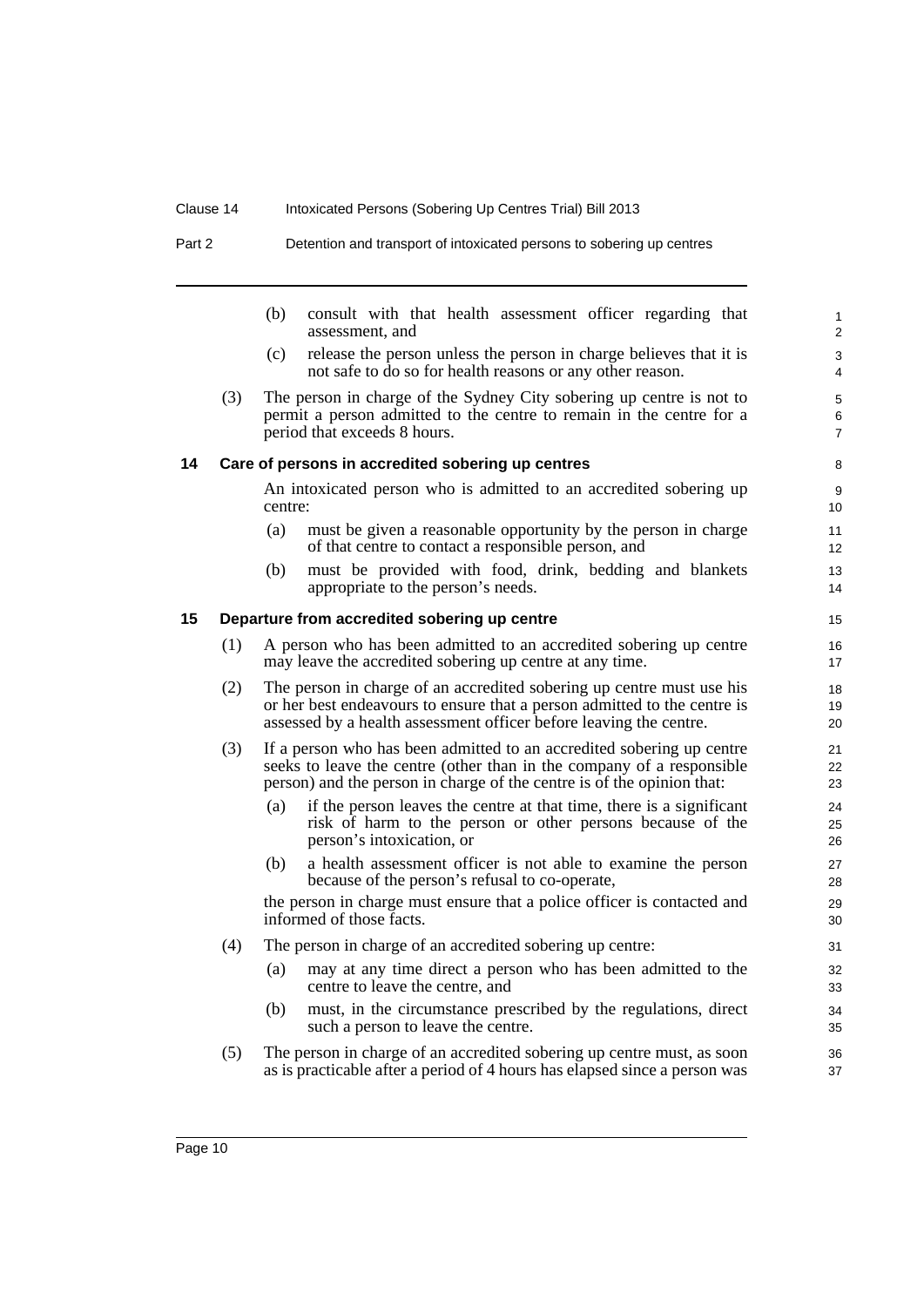Part 2 Detention and transport of intoxicated persons to sobering up centres

<span id="page-19-1"></span><span id="page-19-0"></span>

|    |     | (b)     | consult with that health assessment officer regarding that<br>assessment, and                                                                                                                                            | 1<br>2                   |
|----|-----|---------|--------------------------------------------------------------------------------------------------------------------------------------------------------------------------------------------------------------------------|--------------------------|
|    |     | (c)     | release the person unless the person in charge believes that it is<br>not safe to do so for health reasons or any other reason.                                                                                          | 3<br>4                   |
|    | (3) |         | The person in charge of the Sydney City sobering up centre is not to<br>permit a person admitted to the centre to remain in the centre for a<br>period that exceeds 8 hours.                                             | 5<br>6<br>$\overline{7}$ |
| 14 |     |         | Care of persons in accredited sobering up centres                                                                                                                                                                        | 8                        |
|    |     | centre: | An intoxicated person who is admitted to an accredited sobering up                                                                                                                                                       | 9<br>10 <sup>°</sup>     |
|    |     | (a)     | must be given a reasonable opportunity by the person in charge<br>of that centre to contact a responsible person, and                                                                                                    | 11<br>12 <sup>°</sup>    |
|    |     | (b)     | must be provided with food, drink, bedding and blankets<br>appropriate to the person's needs.                                                                                                                            | 13<br>14                 |
| 15 |     |         | Departure from accredited sobering up centre                                                                                                                                                                             | 15                       |
|    | (1) |         | A person who has been admitted to an accredited sobering up centre<br>may leave the accredited sobering up centre at any time.                                                                                           | 16<br>17                 |
|    | (2) |         | The person in charge of an accredited sobering up centre must use his<br>or her best endeavours to ensure that a person admitted to the centre is<br>assessed by a health assessment officer before leaving the centre.  | 18<br>19<br>20           |
|    | (3) |         | If a person who has been admitted to an accredited sobering up centre<br>seeks to leave the centre (other than in the company of a responsible<br>person) and the person in charge of the centre is of the opinion that: | 21<br>22<br>23           |
|    |     | (a)     | if the person leaves the centre at that time, there is a significant<br>risk of harm to the person or other persons because of the<br>person's intoxication, or                                                          | 24<br>25<br>26           |
|    |     | (b)     | a health assessment officer is not able to examine the person<br>because of the person's refusal to co-operate,                                                                                                          | 27<br>28                 |
|    |     |         | the person in charge must ensure that a police officer is contacted and<br>informed of those facts.                                                                                                                      | 29<br>30                 |
|    | (4) |         | The person in charge of an accredited sobering up centre:                                                                                                                                                                | 31                       |
|    |     | (a)     | may at any time direct a person who has been admitted to the<br>centre to leave the centre, and                                                                                                                          | 32<br>33                 |
|    |     | (b)     | must, in the circumstance prescribed by the regulations, direct<br>such a person to leave the centre.                                                                                                                    | 34<br>35                 |
|    | (5) |         | The person in charge of an accredited sobering up centre must, as soon<br>as is practicable after a period of 4 hours has elapsed since a person was                                                                     | 36<br>37                 |
|    |     |         |                                                                                                                                                                                                                          |                          |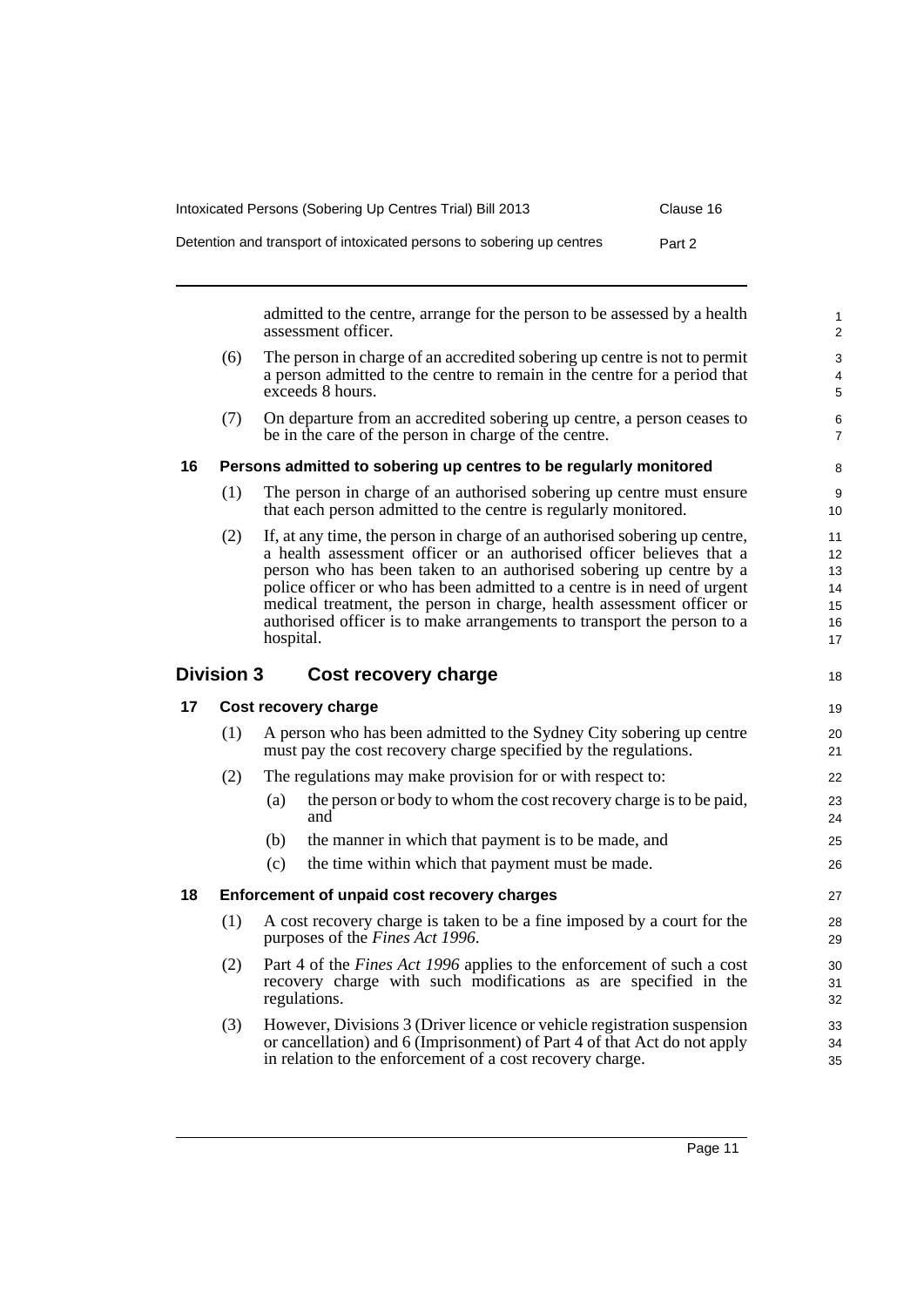| Intoxicated Persons (Sobering Up Centres Trial) Bill 2013             | Clause 16 |
|-----------------------------------------------------------------------|-----------|
| Detention and transport of intoxicated persons to sobering up centres | Part 2    |

admitted to the centre, arrange for the person to be assessed by a health assessment officer.

- (6) The person in charge of an accredited sobering up centre is not to permit a person admitted to the centre to remain in the centre for a period that exceeds 8 hours.
- (7) On departure from an accredited sobering up centre, a person ceases to be in the care of the person in charge of the centre.

## <span id="page-20-0"></span>**16 Persons admitted to sobering up centres to be regularly monitored**

- (1) The person in charge of an authorised sobering up centre must ensure that each person admitted to the centre is regularly monitored.
- (2) If, at any time, the person in charge of an authorised sobering up centre, a health assessment officer or an authorised officer believes that a person who has been taken to an authorised sobering up centre by a police officer or who has been admitted to a centre is in need of urgent medical treatment, the person in charge, health assessment officer or authorised officer is to make arrangements to transport the person to a hospital.

## <span id="page-20-1"></span>**Division 3 Cost recovery charge**

## <span id="page-20-2"></span>**17 Cost recovery charge**

| (1) | A person who has been admitted to the Sydney City sobering up centre<br>must pay the cost recovery charge specified by the regulations. |
|-----|-----------------------------------------------------------------------------------------------------------------------------------------|
| (2) | The regulations may make provision for or with respect to:                                                                              |

- (a) the person or body to whom the cost recovery charge is to be paid, and
- (b) the manner in which that payment is to be made, and
- (c) the time within which that payment must be made.

## <span id="page-20-3"></span>**18 Enforcement of unpaid cost recovery charges**

- (1) A cost recovery charge is taken to be a fine imposed by a court for the purposes of the *Fines Act 1996*.
- (2) Part 4 of the *Fines Act 1996* applies to the enforcement of such a cost recovery charge with such modifications as are specified in the regulations.
- (3) However, Divisions 3 (Driver licence or vehicle registration suspension or cancellation) and 6 (Imprisonment) of Part 4 of that Act do not apply in relation to the enforcement of a cost recovery charge.

18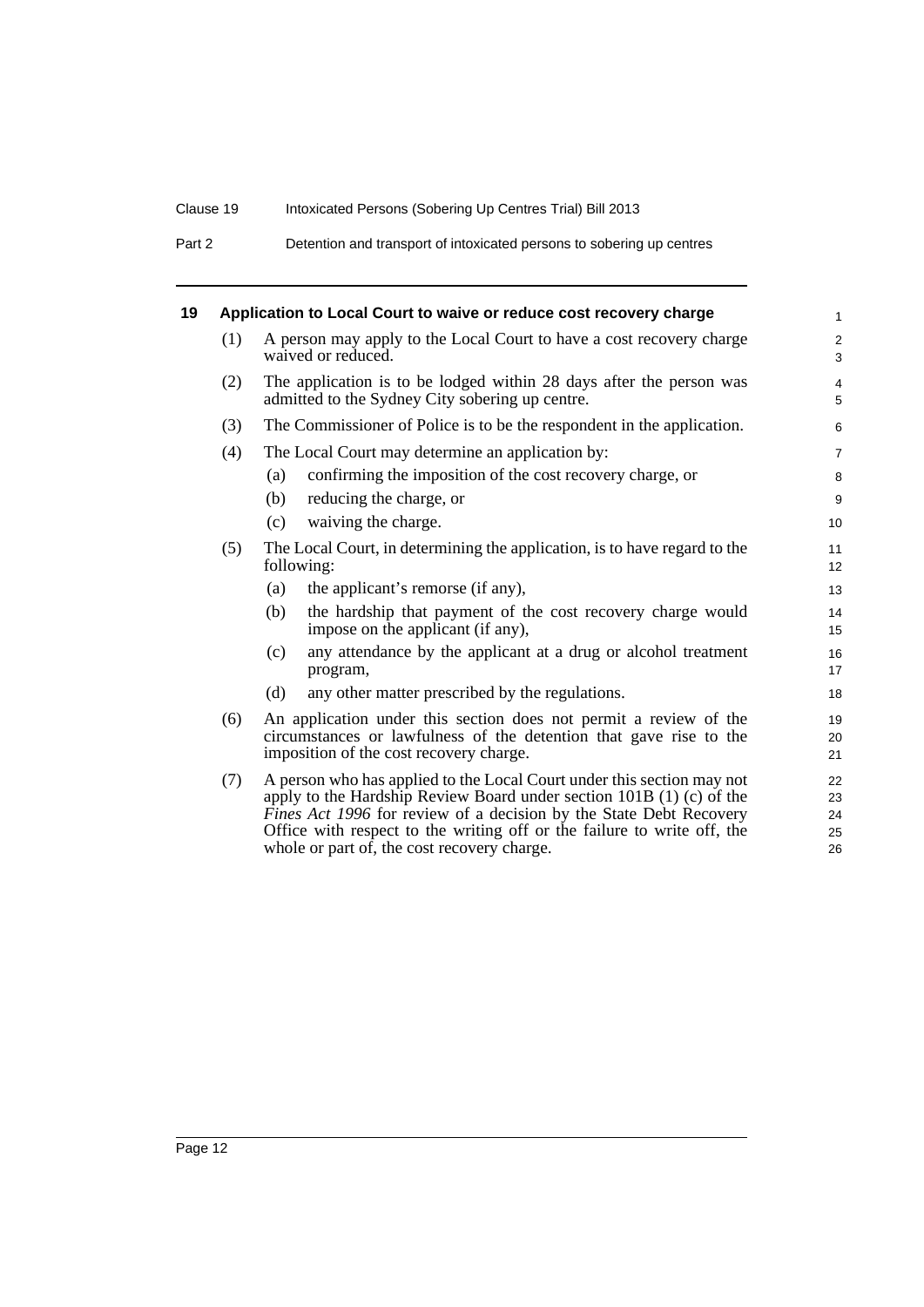Part 2 Detention and transport of intoxicated persons to sobering up centres

<span id="page-21-0"></span>

|     | Application to Local Court to waive or reduce cost recovery charge                                                                                                                                                                                                                                                                              | $\mathbf{1}$               |  |  |
|-----|-------------------------------------------------------------------------------------------------------------------------------------------------------------------------------------------------------------------------------------------------------------------------------------------------------------------------------------------------|----------------------------|--|--|
| (1) | A person may apply to the Local Court to have a cost recovery charge<br>waived or reduced.                                                                                                                                                                                                                                                      |                            |  |  |
| (2) | The application is to be lodged within 28 days after the person was<br>admitted to the Sydney City sobering up centre.                                                                                                                                                                                                                          | $\overline{4}$<br>5        |  |  |
| (3) | The Commissioner of Police is to be the respondent in the application.                                                                                                                                                                                                                                                                          |                            |  |  |
| (4) | The Local Court may determine an application by:                                                                                                                                                                                                                                                                                                | $\overline{7}$             |  |  |
|     | confirming the imposition of the cost recovery charge, or<br>(a)                                                                                                                                                                                                                                                                                | 8                          |  |  |
|     | reducing the charge, or<br>(b)                                                                                                                                                                                                                                                                                                                  | 9                          |  |  |
|     | waiving the charge.<br>(c)                                                                                                                                                                                                                                                                                                                      | 10                         |  |  |
| (5) | The Local Court, in determining the application, is to have regard to the<br>following:                                                                                                                                                                                                                                                         | 11<br>12                   |  |  |
|     | the applicant's remorse (if any),<br>(a)                                                                                                                                                                                                                                                                                                        | 13                         |  |  |
|     | the hardship that payment of the cost recovery charge would<br>(b)<br>impose on the applicant (if any),                                                                                                                                                                                                                                         | 14<br>15                   |  |  |
|     | any attendance by the applicant at a drug or alcohol treatment<br>(c)<br>program,                                                                                                                                                                                                                                                               | 16<br>17                   |  |  |
|     | any other matter prescribed by the regulations.<br>(d)                                                                                                                                                                                                                                                                                          | 18                         |  |  |
| (6) | An application under this section does not permit a review of the<br>circumstances or lawfulness of the detention that gave rise to the<br>imposition of the cost recovery charge.                                                                                                                                                              | 19<br>20<br>21             |  |  |
| (7) | A person who has applied to the Local Court under this section may not<br>apply to the Hardship Review Board under section $101B(1)$ (c) of the<br>Fines Act 1996 for review of a decision by the State Debt Recovery<br>Office with respect to the writing off or the failure to write off, the<br>whole or part of, the cost recovery charge. | 22<br>23<br>24<br>25<br>26 |  |  |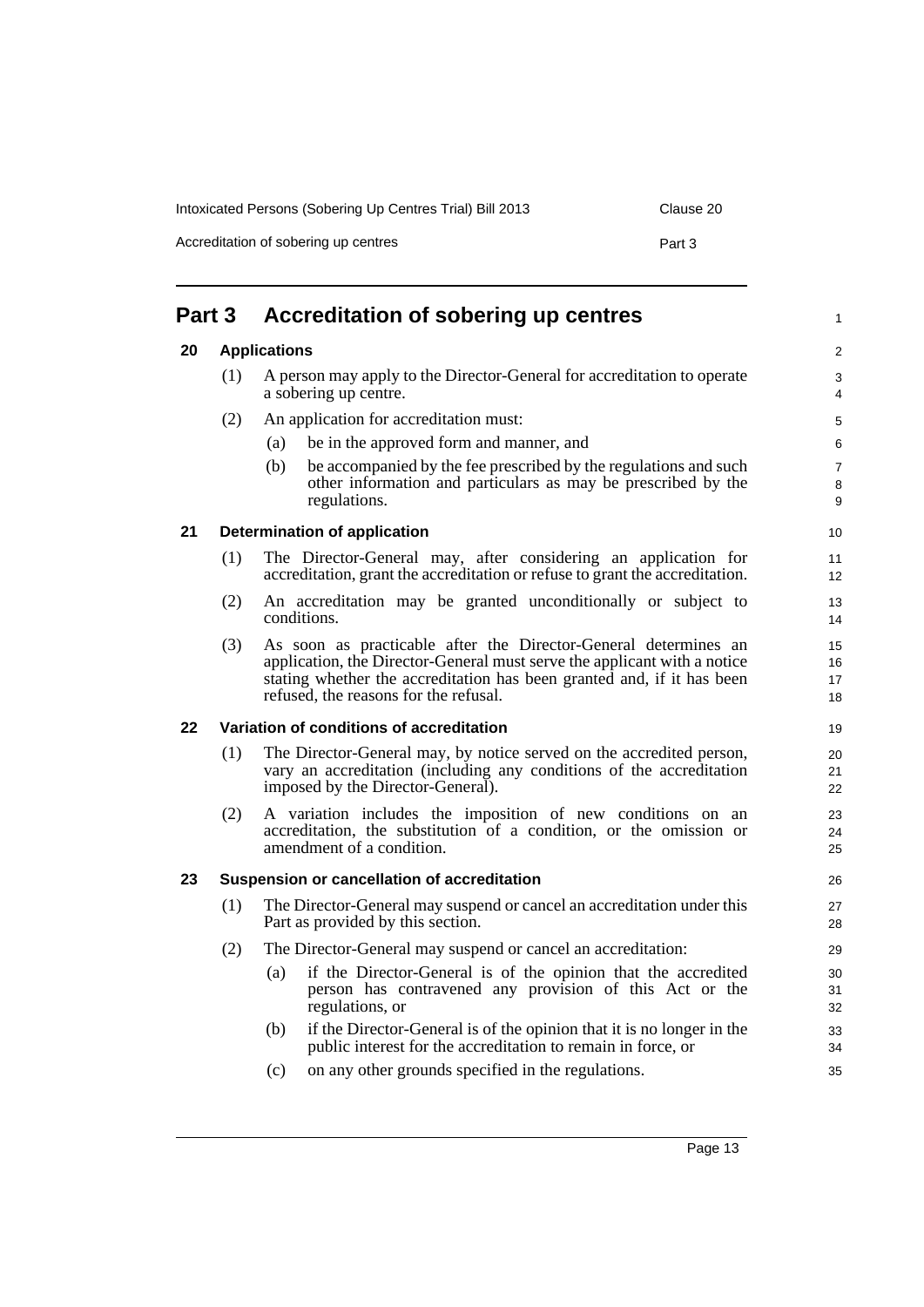<span id="page-22-4"></span><span id="page-22-3"></span><span id="page-22-2"></span><span id="page-22-1"></span><span id="page-22-0"></span>

| Part 3 |     | Accreditation of sobering up centres                                                                                                                                                                                                                           |  |
|--------|-----|----------------------------------------------------------------------------------------------------------------------------------------------------------------------------------------------------------------------------------------------------------------|--|
| 20     |     | <b>Applications</b>                                                                                                                                                                                                                                            |  |
|        | (1) | A person may apply to the Director-General for accreditation to operate<br>a sobering up centre.                                                                                                                                                               |  |
|        | (2) | An application for accreditation must:                                                                                                                                                                                                                         |  |
|        |     | be in the approved form and manner, and<br>(a)                                                                                                                                                                                                                 |  |
|        |     | (b)<br>be accompanied by the fee prescribed by the regulations and such<br>other information and particulars as may be prescribed by the<br>regulations.                                                                                                       |  |
| 21     |     | <b>Determination of application</b>                                                                                                                                                                                                                            |  |
|        | (1) | The Director-General may, after considering an application for<br>accreditation, grant the accreditation or refuse to grant the accreditation.                                                                                                                 |  |
|        | (2) | An accreditation may be granted unconditionally or subject to<br>conditions.                                                                                                                                                                                   |  |
|        | (3) | As soon as practicable after the Director-General determines an<br>application, the Director-General must serve the applicant with a notice<br>stating whether the accreditation has been granted and, if it has been<br>refused, the reasons for the refusal. |  |
| 22     |     | Variation of conditions of accreditation                                                                                                                                                                                                                       |  |
|        | (1) | The Director-General may, by notice served on the accredited person,<br>vary an accreditation (including any conditions of the accreditation<br>imposed by the Director-General).                                                                              |  |
|        | (2) | A variation includes the imposition of new conditions on an<br>accreditation, the substitution of a condition, or the omission or<br>amendment of a condition.                                                                                                 |  |
| 23     |     | Suspension or cancellation of accreditation                                                                                                                                                                                                                    |  |
|        | (1) | The Director-General may suspend or cancel an accreditation under this<br>Part as provided by this section.                                                                                                                                                    |  |
|        | (2) | The Director-General may suspend or cancel an accreditation:                                                                                                                                                                                                   |  |
|        |     | if the Director-General is of the opinion that the accredited<br>(a)<br>person has contravened any provision of this Act or the<br>regulations, or                                                                                                             |  |
|        |     | if the Director-General is of the opinion that it is no longer in the<br>(b)<br>public interest for the accreditation to remain in force, or                                                                                                                   |  |
|        |     | on any other grounds specified in the regulations.<br>(c)                                                                                                                                                                                                      |  |

Accreditation of sobering up centres **Part 3** 

## Intoxicated Persons (Sobering Up Centres Trial) Bill 2013 Clause 20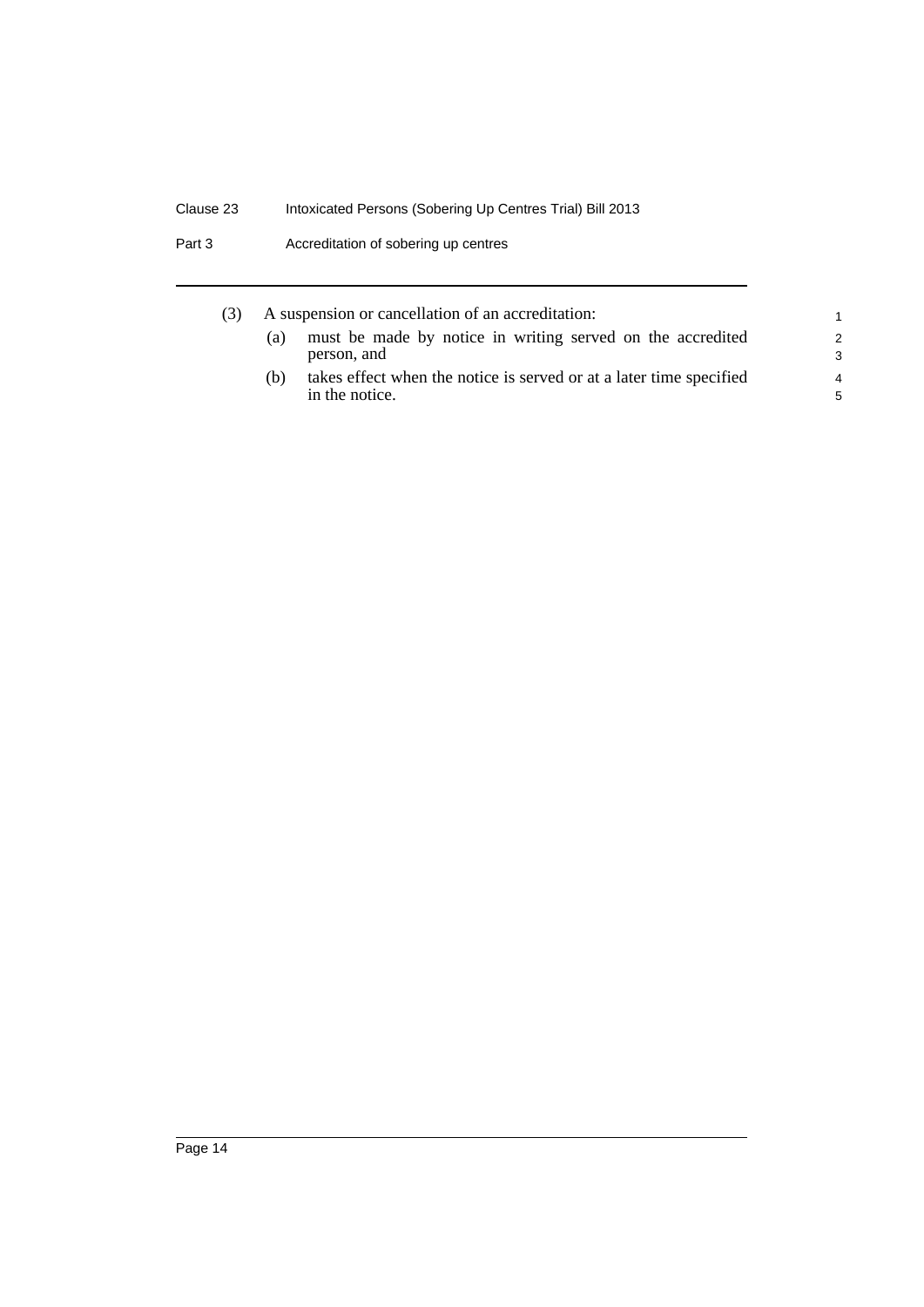|     | A suspension or cancellation of an accreditation:                                     | 1                                |
|-----|---------------------------------------------------------------------------------------|----------------------------------|
| (a) | must be made by notice in writing served on the accredited<br>person, and             | $\mathcal{P}$<br>3               |
| (h) | takes effect when the notice is served or at a later time specified<br>in the notice. | $\overline{4}$<br>$\overline{5}$ |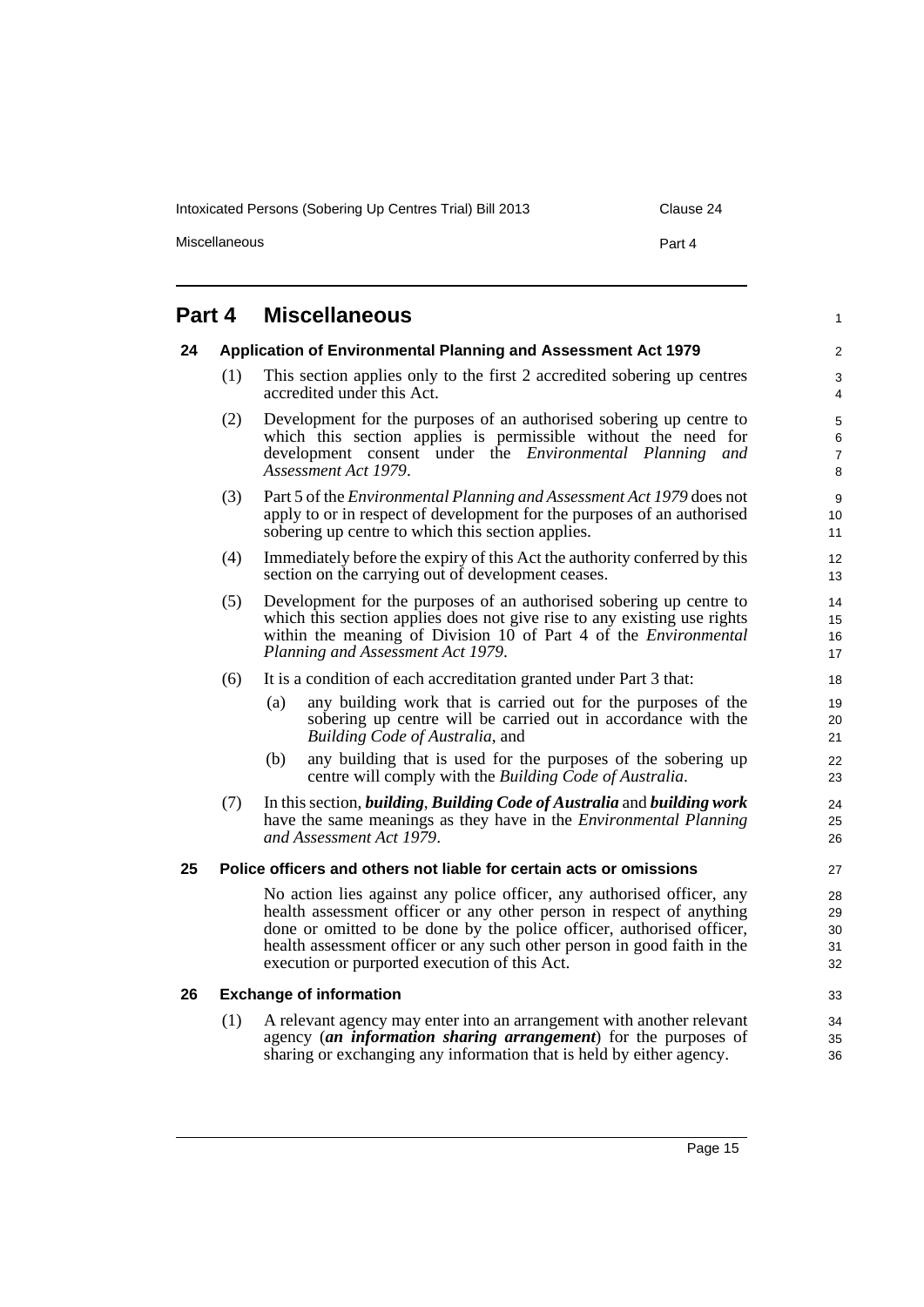Intoxicated Persons (Sobering Up Centres Trial) Bill 2013 Clause 24

Miscellaneous

1

| × |  |
|---|--|
|---|--|

## <span id="page-24-0"></span>**Part 4 Miscellaneous**

#### <span id="page-24-1"></span>**24 Application of Environmental Planning and Assessment Act 1979**

- (1) This section applies only to the first 2 accredited sobering up centres accredited under this Act.
- (2) Development for the purposes of an authorised sobering up centre to which this section applies is permissible without the need for development consent under the *Environmental Planning and Assessment Act 1979*.
- (3) Part 5 of the *Environmental Planning and Assessment Act 1979* does not apply to or in respect of development for the purposes of an authorised sobering up centre to which this section applies.
- (4) Immediately before the expiry of this Act the authority conferred by this section on the carrying out of development ceases.
- (5) Development for the purposes of an authorised sobering up centre to which this section applies does not give rise to any existing use rights within the meaning of Division 10 of Part 4 of the *Environmental Planning and Assessment Act 1979*.
- (6) It is a condition of each accreditation granted under Part 3 that:
	- (a) any building work that is carried out for the purposes of the sobering up centre will be carried out in accordance with the *Building Code of Australia*, and
	- (b) any building that is used for the purposes of the sobering up centre will comply with the *Building Code of Australia*.
- (7) In this section, *building*, *Building Code of Australia* and *building work* have the same meanings as they have in the *Environmental Planning and Assessment Act 1979*.

#### <span id="page-24-2"></span>**25 Police officers and others not liable for certain acts or omissions**

No action lies against any police officer, any authorised officer, any health assessment officer or any other person in respect of anything done or omitted to be done by the police officer, authorised officer, health assessment officer or any such other person in good faith in the execution or purported execution of this Act.

#### <span id="page-24-3"></span>**26 Exchange of information**

(1) A relevant agency may enter into an arrangement with another relevant agency (*an information sharing arrangement*) for the purposes of sharing or exchanging any information that is held by either agency.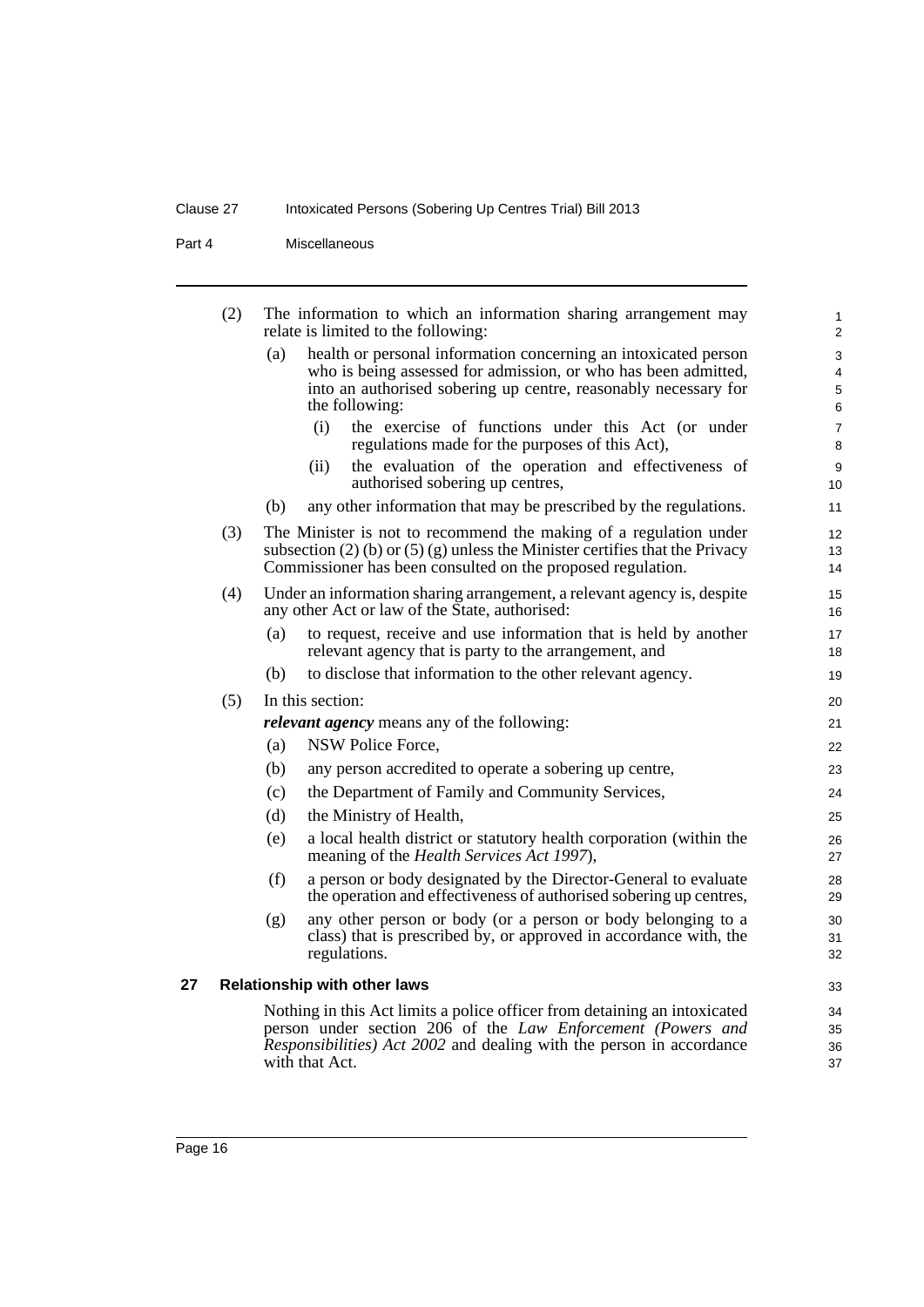Part 4 Miscellaneous

<span id="page-25-0"></span>

|    | (2)                                                         |     | The information to which an information sharing arrangement may<br>relate is limited to the following:                    | $\mathbf{1}$<br>2 |  |
|----|-------------------------------------------------------------|-----|---------------------------------------------------------------------------------------------------------------------------|-------------------|--|
|    |                                                             | (a) | health or personal information concerning an intoxicated person                                                           | 3                 |  |
|    |                                                             |     | who is being assessed for admission, or who has been admitted,                                                            | 4                 |  |
|    |                                                             |     | into an authorised sobering up centre, reasonably necessary for<br>the following:                                         | $\mathbf 5$<br>6  |  |
|    |                                                             |     | the exercise of functions under this Act (or under<br>(i)                                                                 | $\overline{7}$    |  |
|    |                                                             |     | regulations made for the purposes of this Act),                                                                           | 8                 |  |
|    |                                                             |     | the evaluation of the operation and effectiveness of<br>(ii)                                                              | 9                 |  |
|    |                                                             |     | authorised sobering up centres,                                                                                           | 10                |  |
|    |                                                             | (b) | any other information that may be prescribed by the regulations.                                                          | 11                |  |
|    | (3)                                                         |     | The Minister is not to recommend the making of a regulation under                                                         | 12                |  |
|    |                                                             |     | subsection $(2)$ (b) or $(5)$ (g) unless the Minister certifies that the Privacy                                          | 13                |  |
|    |                                                             |     | Commissioner has been consulted on the proposed regulation.                                                               | 14                |  |
|    | (4)                                                         |     | Under an information sharing arrangement, a relevant agency is, despite<br>any other Act or law of the State, authorised: | 15<br>16          |  |
|    |                                                             | (a) | to request, receive and use information that is held by another                                                           | 17                |  |
|    |                                                             |     | relevant agency that is party to the arrangement, and                                                                     | 18                |  |
|    |                                                             | (b) | to disclose that information to the other relevant agency.                                                                | 19                |  |
|    | (5)                                                         |     | In this section:                                                                                                          | 20                |  |
|    |                                                             |     | <i>relevant agency</i> means any of the following:                                                                        | 21                |  |
|    |                                                             | (a) | NSW Police Force,                                                                                                         | 22                |  |
|    |                                                             | (b) | any person accredited to operate a sobering up centre,                                                                    | 23                |  |
|    |                                                             | (c) | the Department of Family and Community Services,                                                                          | 24                |  |
|    |                                                             | (d) | the Ministry of Health,                                                                                                   | 25                |  |
|    |                                                             | (e) | a local health district or statutory health corporation (within the<br>meaning of the <i>Health Services Act 1997</i> ),  | 26<br>27          |  |
|    |                                                             | (f) | a person or body designated by the Director-General to evaluate                                                           | 28                |  |
|    |                                                             |     | the operation and effectiveness of authorised sobering up centres,                                                        | 29                |  |
|    |                                                             | (g) | any other person or body (or a person or body belonging to a                                                              | 30                |  |
|    |                                                             |     | class) that is prescribed by, or approved in accordance with, the<br>regulations.                                         | 31<br>32          |  |
| 27 |                                                             |     | <b>Relationship with other laws</b>                                                                                       | 33                |  |
|    |                                                             |     | Nothing in this Act limits a police officer from detaining an intoxicated                                                 | 34<br>35          |  |
|    | person under section 206 of the Law Enforcement (Powers and |     |                                                                                                                           |                   |  |
|    |                                                             |     | Responsibilities) Act 2002 and dealing with the person in accordance<br>with that Act.                                    | 36<br>37          |  |
|    |                                                             |     |                                                                                                                           |                   |  |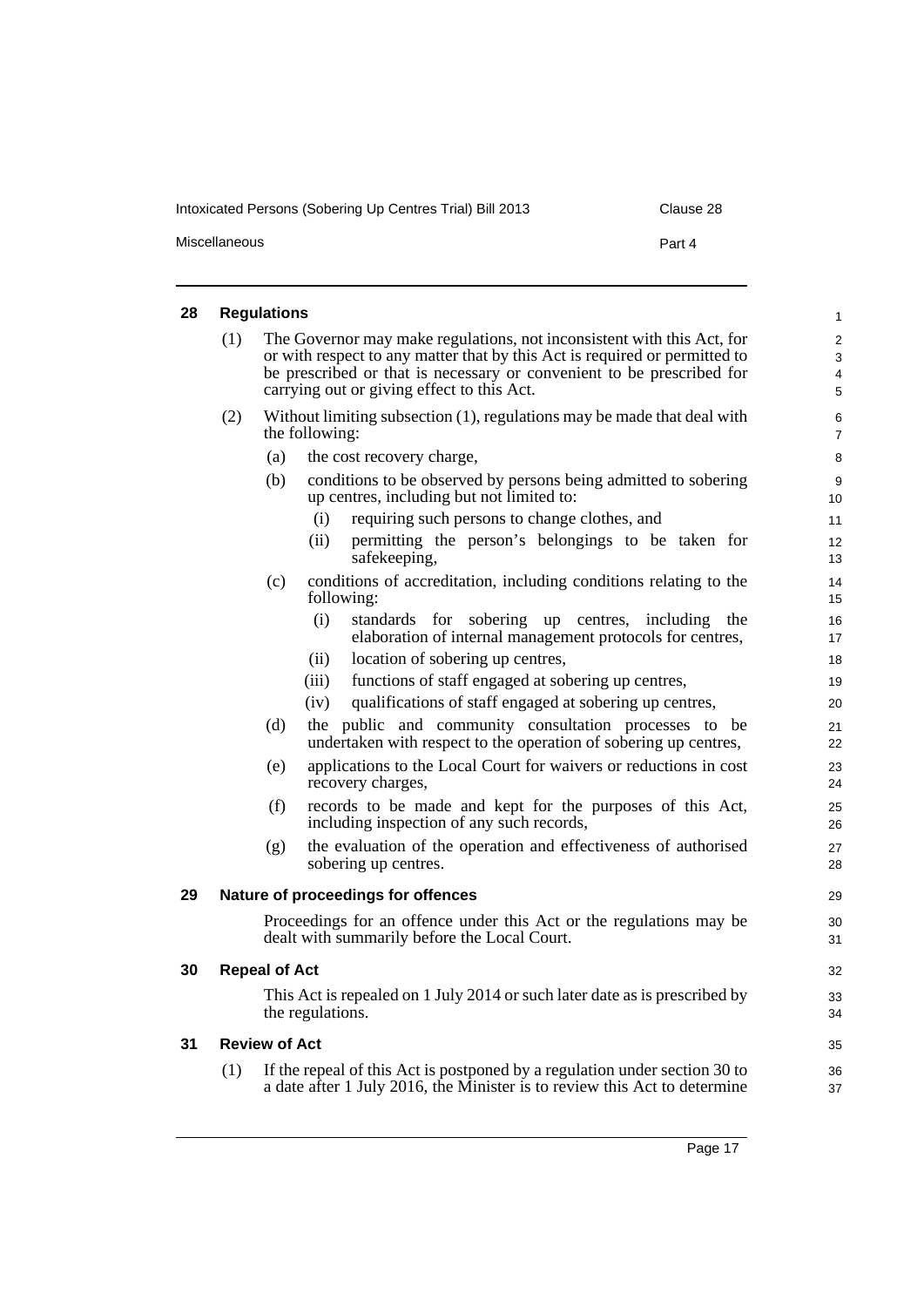| Intoxicated Persons (Sobering Up Centres Trial) Bill 2013 | Clause 28 |
|-----------------------------------------------------------|-----------|
| <b>Miscellaneous</b>                                      | Part 4    |

<span id="page-26-3"></span><span id="page-26-2"></span><span id="page-26-1"></span><span id="page-26-0"></span>

| 28 | <b>Regulations</b>                                                                                                                                                                                                                                                                 |                      |                                                                                                                                                         |                     |  |  |
|----|------------------------------------------------------------------------------------------------------------------------------------------------------------------------------------------------------------------------------------------------------------------------------------|----------------------|---------------------------------------------------------------------------------------------------------------------------------------------------------|---------------------|--|--|
|    | (1)<br>The Governor may make regulations, not inconsistent with this Act, for<br>or with respect to any matter that by this Act is required or permitted to<br>be prescribed or that is necessary or convenient to be prescribed for<br>carrying out or giving effect to this Act. |                      |                                                                                                                                                         |                     |  |  |
|    | (2)                                                                                                                                                                                                                                                                                |                      | Without limiting subsection $(1)$ , regulations may be made that deal with<br>the following:                                                            | 6<br>$\overline{7}$ |  |  |
|    |                                                                                                                                                                                                                                                                                    | (a)                  | the cost recovery charge,                                                                                                                               | 8                   |  |  |
|    |                                                                                                                                                                                                                                                                                    | (b)                  | conditions to be observed by persons being admitted to sobering<br>up centres, including but not limited to:                                            | 9<br>10             |  |  |
|    |                                                                                                                                                                                                                                                                                    |                      | (i)<br>requiring such persons to change clothes, and                                                                                                    | 11                  |  |  |
|    |                                                                                                                                                                                                                                                                                    |                      | permitting the person's belongings to be taken for<br>(ii)<br>safekeeping,                                                                              | 12<br>13            |  |  |
|    |                                                                                                                                                                                                                                                                                    | (c)                  | conditions of accreditation, including conditions relating to the<br>following:                                                                         | 14<br>15            |  |  |
|    |                                                                                                                                                                                                                                                                                    |                      | (i)<br>standards for sobering up centres, including the<br>elaboration of internal management protocols for centres,                                    | 16<br>17            |  |  |
|    |                                                                                                                                                                                                                                                                                    |                      | location of sobering up centres,<br>(ii)                                                                                                                | 18                  |  |  |
|    |                                                                                                                                                                                                                                                                                    |                      | functions of staff engaged at sobering up centres,<br>(iii)                                                                                             | 19                  |  |  |
|    |                                                                                                                                                                                                                                                                                    |                      | qualifications of staff engaged at sobering up centres,<br>(iv)                                                                                         | 20                  |  |  |
|    |                                                                                                                                                                                                                                                                                    | (d)                  | the public and community consultation processes to be<br>undertaken with respect to the operation of sobering up centres,                               | 21<br>22            |  |  |
|    |                                                                                                                                                                                                                                                                                    | (e)                  | applications to the Local Court for waivers or reductions in cost<br>recovery charges,                                                                  | 23<br>24            |  |  |
|    |                                                                                                                                                                                                                                                                                    | (f)                  | records to be made and kept for the purposes of this Act,<br>including inspection of any such records,                                                  | 25<br>26            |  |  |
|    |                                                                                                                                                                                                                                                                                    | (g)                  | the evaluation of the operation and effectiveness of authorised<br>sobering up centres.                                                                 | 27<br>28            |  |  |
| 29 | Nature of proceedings for offences                                                                                                                                                                                                                                                 |                      |                                                                                                                                                         |                     |  |  |
|    | Proceedings for an offence under this Act or the regulations may be<br>dealt with summarily before the Local Court.                                                                                                                                                                |                      |                                                                                                                                                         |                     |  |  |
| 30 | <b>Repeal of Act</b>                                                                                                                                                                                                                                                               |                      |                                                                                                                                                         |                     |  |  |
|    |                                                                                                                                                                                                                                                                                    |                      | This Act is repealed on 1 July 2014 or such later date as is prescribed by<br>the regulations.                                                          | 33<br>34            |  |  |
| 31 |                                                                                                                                                                                                                                                                                    | <b>Review of Act</b> |                                                                                                                                                         | 35                  |  |  |
|    | (1)                                                                                                                                                                                                                                                                                |                      | If the repeal of this Act is postponed by a regulation under section 30 to<br>a date after 1 July 2016, the Minister is to review this Act to determine | 36<br>37            |  |  |
|    |                                                                                                                                                                                                                                                                                    |                      |                                                                                                                                                         |                     |  |  |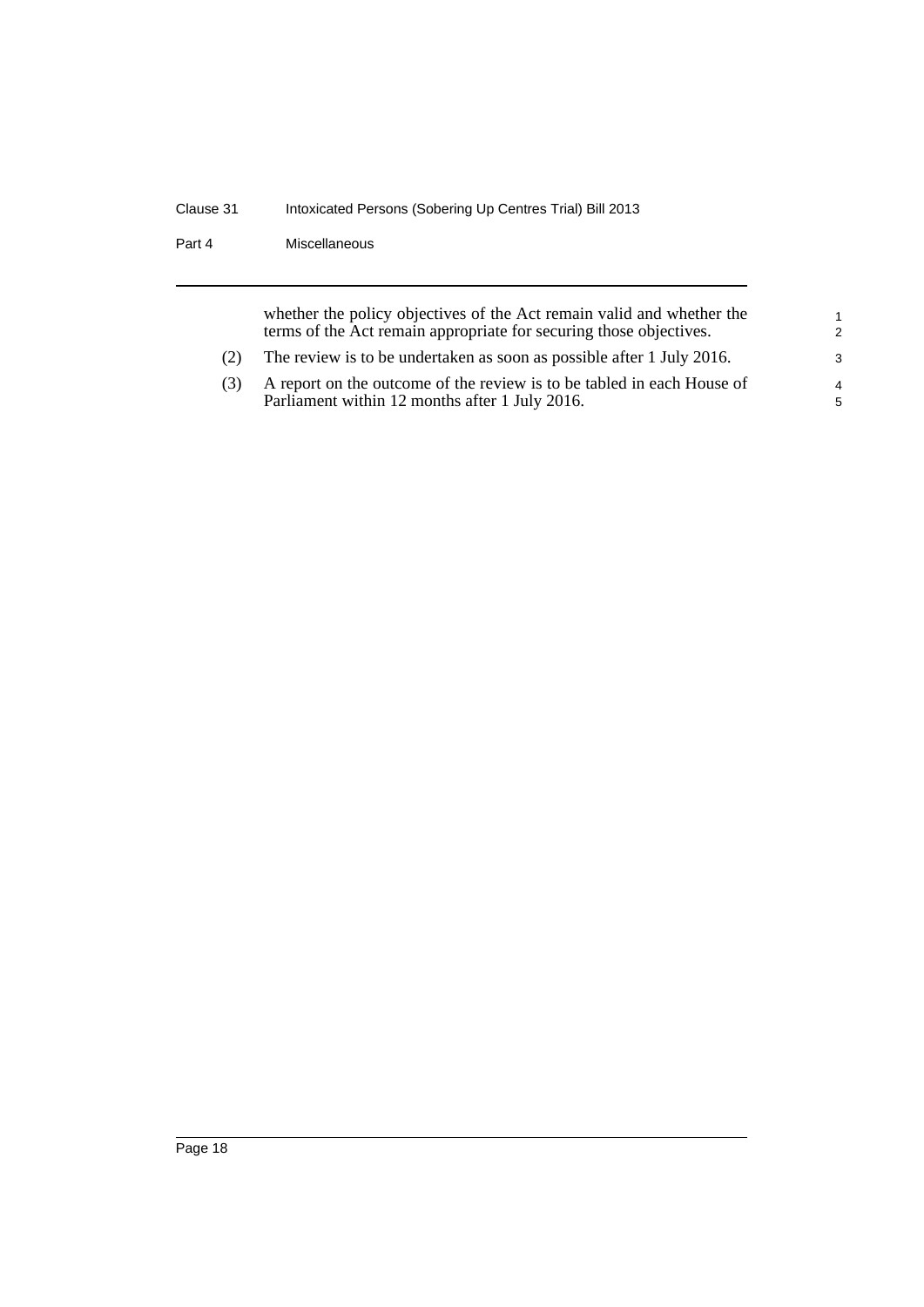Part 4 Miscellaneous

whether the policy objectives of the Act remain valid and whether the terms of the Act remain appropriate for securing those objectives.

- (2) The review is to be undertaken as soon as possible after 1 July 2016.
- (3) A report on the outcome of the review is to be tabled in each House of Parliament within 12 months after 1 July 2016.